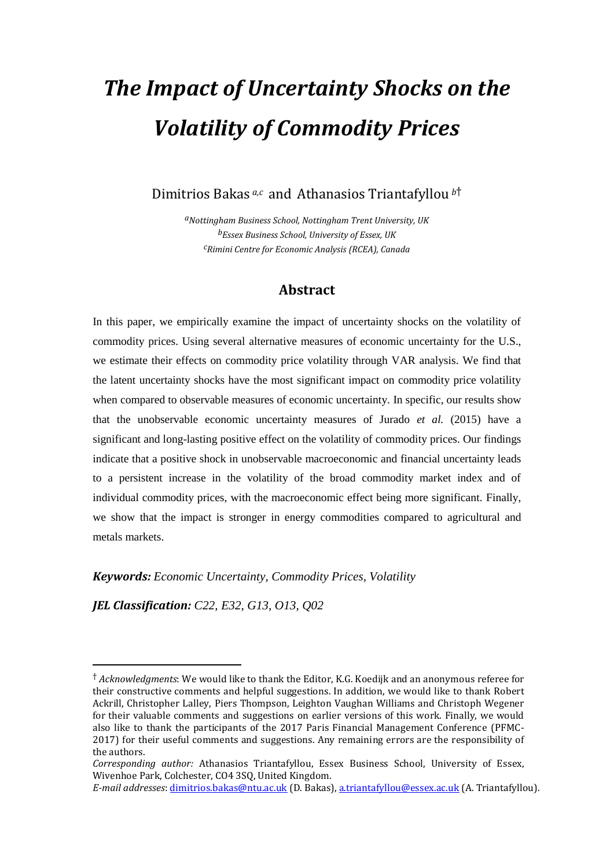# *The Impact of Uncertainty Shocks on the Volatility of Commodity Prices*

Dimitrios Bakas *a,c* and Athanasios Triantafyllou *<sup>b</sup>*†

*aNottingham Business School, Nottingham Trent University, UK bEssex Business School, University of Essex, UK cRimini Centre for Economic Analysis (RCEA), Canada*

### **Abstract**

In this paper, we empirically examine the impact of uncertainty shocks on the volatility of commodity prices. Using several alternative measures of economic uncertainty for the U.S., we estimate their effects on commodity price volatility through VAR analysis. We find that the latent uncertainty shocks have the most significant impact on commodity price volatility when compared to observable measures of economic uncertainty. In specific, our results show that the unobservable economic uncertainty measures of Jurado *et al.* (2015) have a significant and long-lasting positive effect on the volatility of commodity prices. Our findings indicate that a positive shock in unobservable macroeconomic and financial uncertainty leads to a persistent increase in the volatility of the broad commodity market index and of individual commodity prices, with the macroeconomic effect being more significant. Finally, we show that the impact is stronger in energy commodities compared to agricultural and metals markets.

*Keywords: Economic Uncertainty, Commodity Prices, Volatility*

*JEL Classification: C22, E32, G13, O13, Q02*

 $\overline{a}$ 

<sup>†</sup> *Acknowledgments*: We would like to thank the Editor, K.G. Koedijk and an anonymous referee for their constructive comments and helpful suggestions. In addition, we would like to thank Robert Ackrill, Christopher Lalley, Piers Thompson, Leighton Vaughan Williams and Christoph Wegener for their valuable comments and suggestions on earlier versions of this work. Finally, we would also like to thank the participants of the 2017 Paris Financial Management Conference (PFMC-2017) for their useful comments and suggestions. Any remaining errors are the responsibility of the authors.

*Corresponding author:* Athanasios Triantafyllou, Essex Business School, University of Essex, Wivenhoe Park, Colchester, CO4 3SQ, United Kingdom.

*E-mail addresses*: [dimitrios.bakas@ntu.ac.uk](mailto:dimitrios.bakas@ntu.ac.uk) (D. Bakas), [a.triantafyllou@essex.ac.uk](mailto:a.triantafyllou@essex.ac.uk) (A. Triantafyllou).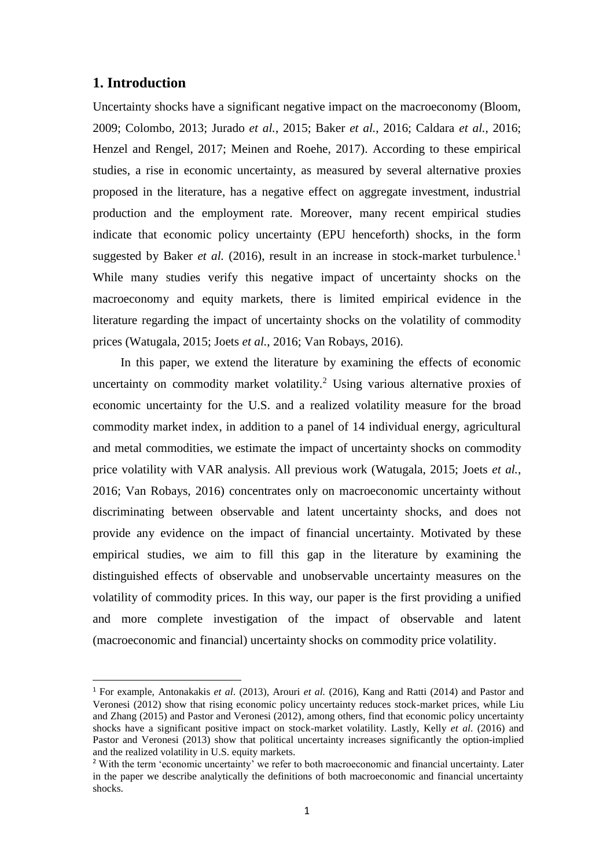#### **1. Introduction**

**.** 

Uncertainty shocks have a significant negative impact on the macroeconomy (Bloom, 2009; Colombo, 2013; Jurado *et al.*, 2015; Baker *et al.*, 2016; Caldara *et al.*, 2016; Henzel and Rengel, 2017; Meinen and Roehe, 2017). According to these empirical studies, a rise in economic uncertainty, as measured by several alternative proxies proposed in the literature, has a negative effect on aggregate investment, industrial production and the employment rate. Moreover, many recent empirical studies indicate that economic policy uncertainty (EPU henceforth) shocks, in the form suggested by Baker *et al.* (2016), result in an increase in stock-market turbulence.<sup>1</sup> While many studies verify this negative impact of uncertainty shocks on the macroeconomy and equity markets, there is limited empirical evidence in the literature regarding the impact of uncertainty shocks on the volatility of commodity prices (Watugala, 2015; Joets *et al.*, 2016; Van Robays, 2016).

In this paper, we extend the literature by examining the effects of economic uncertainty on commodity market volatility.<sup>2</sup> Using various alternative proxies of economic uncertainty for the U.S. and a realized volatility measure for the broad commodity market index, in addition to a panel of 14 individual energy, agricultural and metal commodities, we estimate the impact of uncertainty shocks on commodity price volatility with VAR analysis. All previous work (Watugala, 2015; Joets *et al.*, 2016; Van Robays, 2016) concentrates only on macroeconomic uncertainty without discriminating between observable and latent uncertainty shocks, and does not provide any evidence on the impact of financial uncertainty. Motivated by these empirical studies, we aim to fill this gap in the literature by examining the distinguished effects of observable and unobservable uncertainty measures on the volatility of commodity prices. In this way, our paper is the first providing a unified and more complete investigation of the impact of observable and latent (macroeconomic and financial) uncertainty shocks on commodity price volatility.

<sup>1</sup> For example, Antonakakis *et al*. (2013), Arouri *et al.* (2016), Kang and Ratti (2014) and Pastor and Veronesi (2012) show that rising economic policy uncertainty reduces stock-market prices, while Liu and Zhang (2015) and Pastor and Veronesi (2012), among others, find that economic policy uncertainty shocks have a significant positive impact on stock-market volatility. Lastly, Kelly *et al*. (2016) and Pastor and Veronesi (2013) show that political uncertainty increases significantly the option-implied and the realized volatility in U.S. equity markets.

<sup>&</sup>lt;sup>2</sup> With the term 'economic uncertainty' we refer to both macroeconomic and financial uncertainty. Later in the paper we describe analytically the definitions of both macroeconomic and financial uncertainty shocks.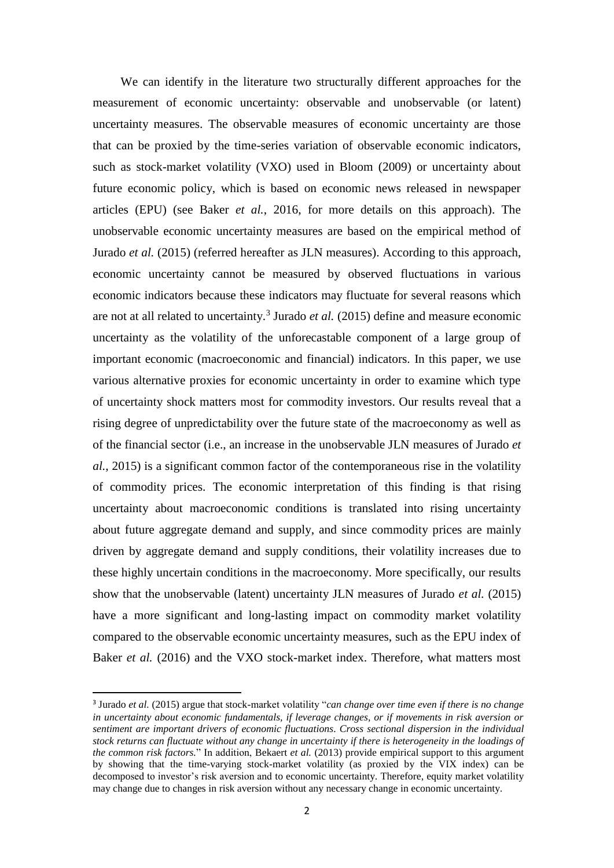We can identify in the literature two structurally different approaches for the measurement of economic uncertainty: observable and unobservable (or latent) uncertainty measures. The observable measures of economic uncertainty are those that can be proxied by the time-series variation of observable economic indicators, such as stock-market volatility (VXO) used in Bloom (2009) or uncertainty about future economic policy, which is based on economic news released in newspaper articles (EPU) (see Baker *et al.*, 2016, for more details on this approach). The unobservable economic uncertainty measures are based on the empirical method of Jurado *et al.* (2015) (referred hereafter as JLN measures). According to this approach, economic uncertainty cannot be measured by observed fluctuations in various economic indicators because these indicators may fluctuate for several reasons which are not at all related to uncertainty.<sup>3</sup> Jurado *et al.* (2015) define and measure economic uncertainty as the volatility of the unforecastable component of a large group of important economic (macroeconomic and financial) indicators. In this paper, we use various alternative proxies for economic uncertainty in order to examine which type of uncertainty shock matters most for commodity investors. Our results reveal that a rising degree of unpredictability over the future state of the macroeconomy as well as of the financial sector (i.e., an increase in the unobservable JLN measures of Jurado *et al.*, 2015) is a significant common factor of the contemporaneous rise in the volatility of commodity prices. The economic interpretation of this finding is that rising uncertainty about macroeconomic conditions is translated into rising uncertainty about future aggregate demand and supply, and since commodity prices are mainly driven by aggregate demand and supply conditions, their volatility increases due to these highly uncertain conditions in the macroeconomy. More specifically, our results show that the unobservable (latent) uncertainty JLN measures of Jurado *et al.* (2015) have a more significant and long-lasting impact on commodity market volatility compared to the observable economic uncertainty measures, such as the EPU index of Baker *et al.* (2016) and the VXO stock-market index. Therefore, what matters most

1

<sup>3</sup> Jurado *et al.* (2015) argue that stock-market volatility "*can change over time even if there is no change in uncertainty about economic fundamentals, if leverage changes, or if movements in risk aversion or sentiment are important drivers of economic fluctuations. Cross sectional dispersion in the individual stock returns can fluctuate without any change in uncertainty if there is heterogeneity in the loadings of the common risk factors.*" In addition, Bekaert *et al.* (2013) provide empirical support to this argument by showing that the time-varying stock-market volatility (as proxied by the VIX index) can be decomposed to investor's risk aversion and to economic uncertainty. Therefore, equity market volatility may change due to changes in risk aversion without any necessary change in economic uncertainty.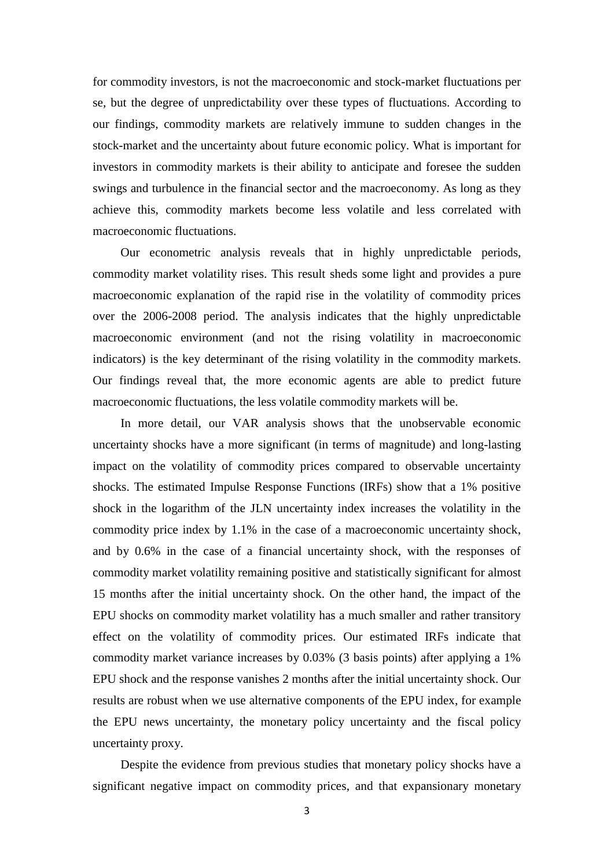for commodity investors, is not the macroeconomic and stock-market fluctuations per se, but the degree of unpredictability over these types of fluctuations. According to our findings, commodity markets are relatively immune to sudden changes in the stock-market and the uncertainty about future economic policy. What is important for investors in commodity markets is their ability to anticipate and foresee the sudden swings and turbulence in the financial sector and the macroeconomy. As long as they achieve this, commodity markets become less volatile and less correlated with macroeconomic fluctuations.

Our econometric analysis reveals that in highly unpredictable periods, commodity market volatility rises. This result sheds some light and provides a pure macroeconomic explanation of the rapid rise in the volatility of commodity prices over the 2006-2008 period. The analysis indicates that the highly unpredictable macroeconomic environment (and not the rising volatility in macroeconomic indicators) is the key determinant of the rising volatility in the commodity markets. Our findings reveal that, the more economic agents are able to predict future macroeconomic fluctuations, the less volatile commodity markets will be.

In more detail, our VAR analysis shows that the unobservable economic uncertainty shocks have a more significant (in terms of magnitude) and long-lasting impact on the volatility of commodity prices compared to observable uncertainty shocks. The estimated Impulse Response Functions (IRFs) show that a 1% positive shock in the logarithm of the JLN uncertainty index increases the volatility in the commodity price index by 1.1% in the case of a macroeconomic uncertainty shock, and by 0.6% in the case of a financial uncertainty shock, with the responses of commodity market volatility remaining positive and statistically significant for almost 15 months after the initial uncertainty shock. On the other hand, the impact of the EPU shocks on commodity market volatility has a much smaller and rather transitory effect on the volatility of commodity prices. Our estimated IRFs indicate that commodity market variance increases by 0.03% (3 basis points) after applying a 1% EPU shock and the response vanishes 2 months after the initial uncertainty shock. Our results are robust when we use alternative components of the EPU index, for example the EPU news uncertainty, the monetary policy uncertainty and the fiscal policy uncertainty proxy.

Despite the evidence from previous studies that monetary policy shocks have a significant negative impact on commodity prices, and that expansionary monetary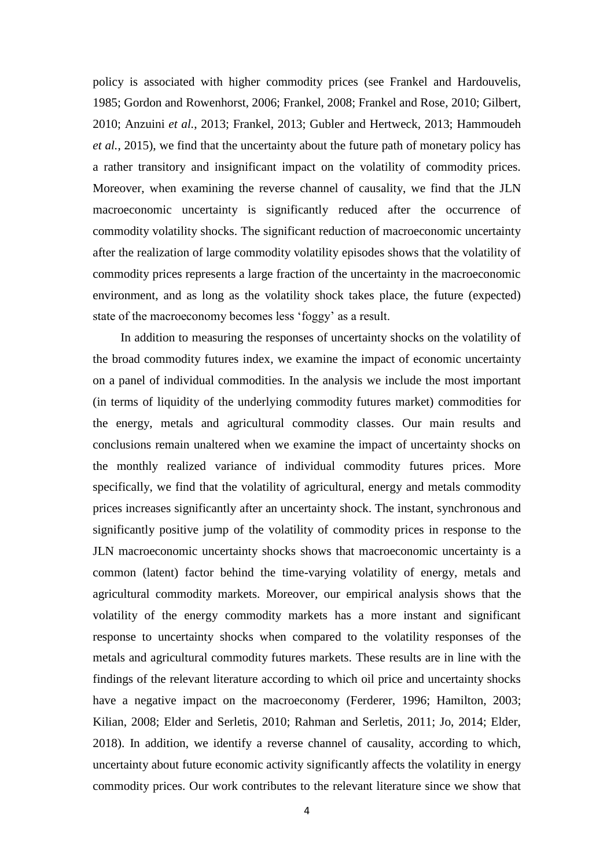policy is associated with higher commodity prices (see Frankel and Hardouvelis, 1985; Gordon and Rowenhorst, 2006; Frankel, 2008; Frankel and Rose, 2010; Gilbert, 2010; Anzuini *et al.*, 2013; Frankel, 2013; Gubler and Hertweck, 2013; Hammoudeh *et al.*, 2015), we find that the uncertainty about the future path of monetary policy has a rather transitory and insignificant impact on the volatility of commodity prices. Moreover, when examining the reverse channel of causality, we find that the JLN macroeconomic uncertainty is significantly reduced after the occurrence of commodity volatility shocks. The significant reduction of macroeconomic uncertainty after the realization of large commodity volatility episodes shows that the volatility of commodity prices represents a large fraction of the uncertainty in the macroeconomic environment, and as long as the volatility shock takes place, the future (expected) state of the macroeconomy becomes less 'foggy' as a result.

In addition to measuring the responses of uncertainty shocks on the volatility of the broad commodity futures index, we examine the impact of economic uncertainty on a panel of individual commodities. In the analysis we include the most important (in terms of liquidity of the underlying commodity futures market) commodities for the energy, metals and agricultural commodity classes. Our main results and conclusions remain unaltered when we examine the impact of uncertainty shocks on the monthly realized variance of individual commodity futures prices. More specifically, we find that the volatility of agricultural, energy and metals commodity prices increases significantly after an uncertainty shock. The instant, synchronous and significantly positive jump of the volatility of commodity prices in response to the JLN macroeconomic uncertainty shocks shows that macroeconomic uncertainty is a common (latent) factor behind the time-varying volatility of energy, metals and agricultural commodity markets. Moreover, our empirical analysis shows that the volatility of the energy commodity markets has a more instant and significant response to uncertainty shocks when compared to the volatility responses of the metals and agricultural commodity futures markets. These results are in line with the findings of the relevant literature according to which oil price and uncertainty shocks have a negative impact on the macroeconomy (Ferderer, 1996; Hamilton, 2003; Kilian, 2008; Elder and Serletis, 2010; Rahman and Serletis, 2011; Jo, 2014; Elder, 2018). In addition, we identify a reverse channel of causality, according to which, uncertainty about future economic activity significantly affects the volatility in energy commodity prices. Our work contributes to the relevant literature since we show that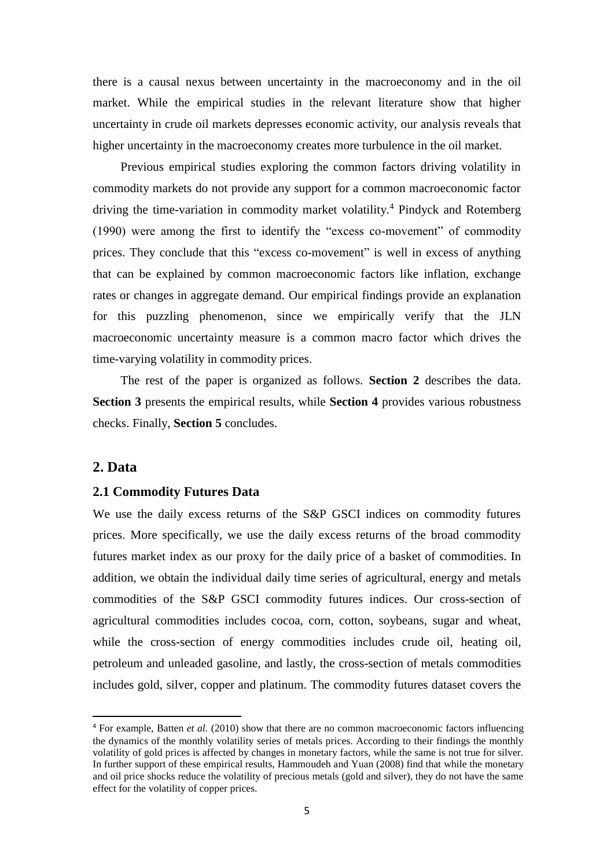there is a causal nexus between uncertainty in the macroeconomy and in the oil market. While the empirical studies in the relevant literature show that higher uncertainty in crude oil markets depresses economic activity, our analysis reveals that higher uncertainty in the macroeconomy creates more turbulence in the oil market.

Previous empirical studies exploring the common factors driving volatility in commodity markets do not provide any support for a common macroeconomic factor driving the time-variation in commodity market volatility.<sup>4</sup> Pindyck and Rotemberg (1990) were among the first to identify the "excess co-movement" of commodity prices. They conclude that this "excess co-movement" is well in excess of anything that can be explained by common macroeconomic factors like inflation, exchange rates or changes in aggregate demand. Our empirical findings provide an explanation for this puzzling phenomenon, since we empirically verify that the JLN macroeconomic uncertainty measure is a common macro factor which drives the time-varying volatility in commodity prices.

The rest of the paper is organized as follows. **Section 2** describes the data. **Section 3** presents the empirical results, while **Section 4** provides various robustness checks. Finally, **Section 5** concludes.

### **2. Data**

**.** 

#### **2.1 Commodity Futures Data**

We use the daily excess returns of the S&P GSCI indices on commodity futures prices. More specifically, we use the daily excess returns of the broad commodity futures market index as our proxy for the daily price of a basket of commodities. In addition, we obtain the individual daily time series of agricultural, energy and metals commodities of the S&P GSCI commodity futures indices. Our cross-section of agricultural commodities includes cocoa, corn, cotton, soybeans, sugar and wheat, while the cross-section of energy commodities includes crude oil, heating oil, petroleum and unleaded gasoline, and lastly, the cross-section of metals commodities includes gold, silver, copper and platinum. The commodity futures dataset covers the

<sup>4</sup> For example, Batten *et al.* (2010) show that there are no common macroeconomic factors influencing the dynamics of the monthly volatility series of metals prices. According to their findings the monthly volatility of gold prices is affected by changes in monetary factors, while the same is not true for silver. In further support of these empirical results, Hammoudeh and Yuan (2008) find that while the monetary and oil price shocks reduce the volatility of precious metals (gold and silver), they do not have the same effect for the volatility of copper prices.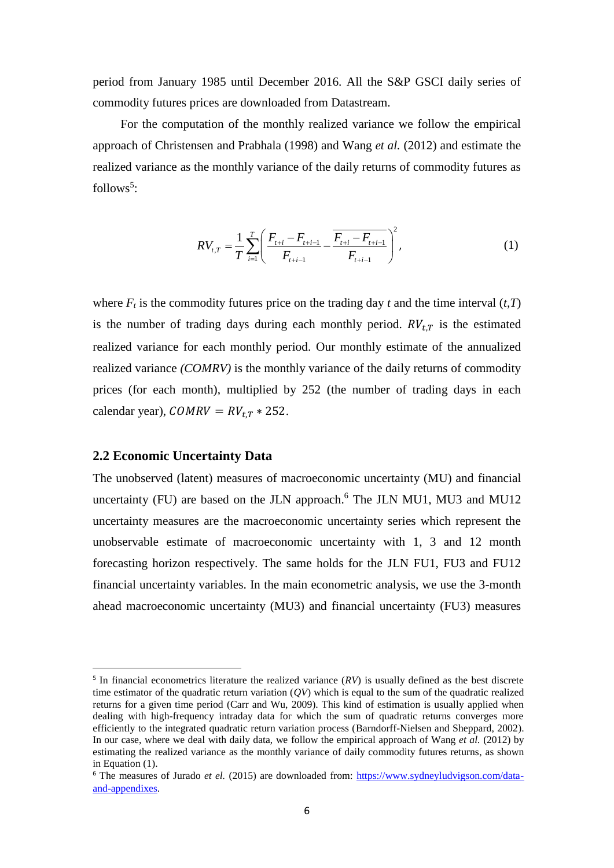period from January 1985 until December 2016. All the S&P GSCI daily series of commodity futures prices are downloaded from Datastream.

For the computation of the monthly realized variance we follow the empirical approach of Christensen and Prabhala (1998) and Wang *et al.* (2012) and estimate the realized variance as the monthly variance of the daily returns of commodity futures as follows<sup>5</sup>:

$$
RV_{t,T} = \frac{1}{T} \sum_{i=1}^{T} \left( \frac{F_{t+i} - F_{t+i-1}}{F_{t+i-1}} - \frac{\overline{F_{t+i} - F_{t+i-1}}}{F_{t+i-1}} \right)^2,
$$
(1)

where  $F_t$  is the commodity futures price on the trading day *t* and the time interval  $(t, T)$ is the number of trading days during each monthly period.  $RV_{t,T}$  is the estimated realized variance for each monthly period. Our monthly estimate of the annualized realized variance *(COMRV)* is the monthly variance of the daily returns of commodity prices (for each month), multiplied by 252 (the number of trading days in each calendar year),  $COMRV = RV_{LT} * 252$ .

#### **2.2 Economic Uncertainty Data**

**.** 

The unobserved (latent) measures of macroeconomic uncertainty (MU) and financial uncertainty (FU) are based on the JLN approach.<sup>6</sup> The JLN MU1, MU3 and MU12 uncertainty measures are the macroeconomic uncertainty series which represent the unobservable estimate of macroeconomic uncertainty with 1, 3 and 12 month forecasting horizon respectively. The same holds for the JLN FU1, FU3 and FU12 financial uncertainty variables. In the main econometric analysis, we use the 3-month ahead macroeconomic uncertainty (MU3) and financial uncertainty (FU3) measures

<sup>&</sup>lt;sup>5</sup> In financial econometrics literature the realized variance (*RV*) is usually defined as the best discrete time estimator of the quadratic return variation (*QV*) which is equal to the sum of the quadratic realized returns for a given time period (Carr and Wu, 2009). This kind of estimation is usually applied when dealing with high-frequency intraday data for which the sum of quadratic returns converges more efficiently to the integrated quadratic return variation process (Barndorff-Nielsen and Sheppard, 2002). In our case, where we deal with daily data, we follow the empirical approach of Wang *et al.* (2012) by estimating the realized variance as the monthly variance of daily commodity futures returns, as shown in Equation (1).

<sup>&</sup>lt;sup>6</sup> The measures of Jurado *et el.* (2015) are downloaded from: [https://www.sydneyludvigson.com/data](https://www.sydneyludvigson.com/data-and-appendixes)[and-appendixes.](https://www.sydneyludvigson.com/data-and-appendixes)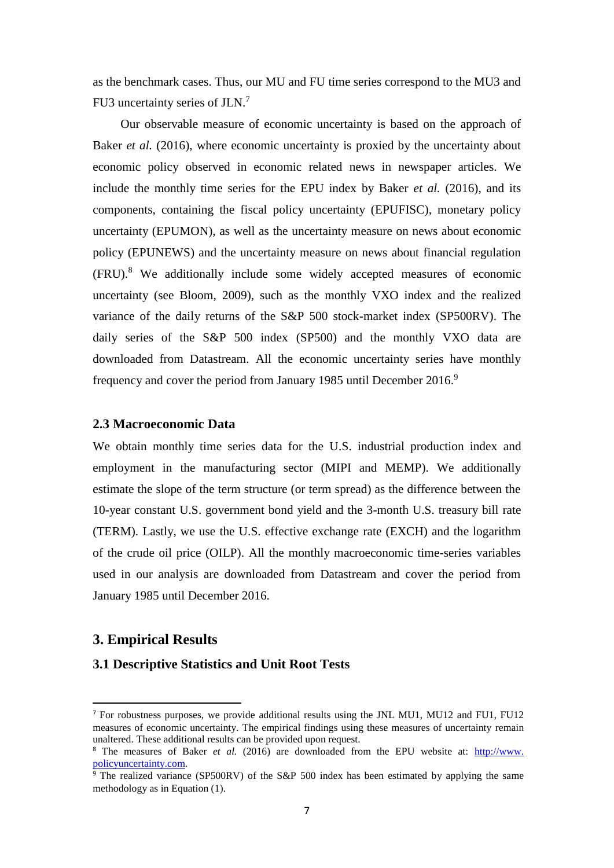as the benchmark cases. Thus, our MU and FU time series correspond to the MU3 and FU3 uncertainty series of JLN.<sup>7</sup>

Our observable measure of economic uncertainty is based on the approach of Baker *et al.* (2016), where economic uncertainty is proxied by the uncertainty about economic policy observed in economic related news in newspaper articles. We include the monthly time series for the EPU index by Baker *et al.* (2016), and its components, containing the fiscal policy uncertainty (EPUFISC), monetary policy uncertainty (EPUMON), as well as the uncertainty measure on news about economic policy (EPUNEWS) and the uncertainty measure on news about financial regulation (FRU). <sup>8</sup> We additionally include some widely accepted measures of economic uncertainty (see Bloom, 2009), such as the monthly VXO index and the realized variance of the daily returns of the S&P 500 stock-market index (SP500RV). The daily series of the S&P 500 index (SP500) and the monthly VXO data are downloaded from Datastream. All the economic uncertainty series have monthly frequency and cover the period from January 1985 until December 2016.<sup>9</sup>

#### **2.3 Macroeconomic Data**

We obtain monthly time series data for the U.S. industrial production index and employment in the manufacturing sector (MIPI and MEMP). We additionally estimate the slope of the term structure (or term spread) as the difference between the 10-year constant U.S. government bond yield and the 3-month U.S. treasury bill rate (TERM). Lastly, we use the U.S. effective exchange rate (EXCH) and the logarithm of the crude oil price (OILP). All the monthly macroeconomic time-series variables used in our analysis are downloaded from Datastream and cover the period from January 1985 until December 2016.

#### **3. Empirical Results**

1

### **3.1 Descriptive Statistics and Unit Root Tests**

<sup>&</sup>lt;sup>7</sup> For robustness purposes, we provide additional results using the JNL MU1, MU12 and FU1, FU12 measures of economic uncertainty. The empirical findings using these measures of uncertainty remain unaltered. These additional results can be provided upon request.

<sup>8</sup> The measures of Baker *et al.* (2016) are downloaded from the EPU website at: [http://www.](http://www/) policyuncertainty.com.

<sup>&</sup>lt;sup>9</sup> The realized variance (SP500RV) of the S&P 500 index has been estimated by applying the same methodology as in Equation (1).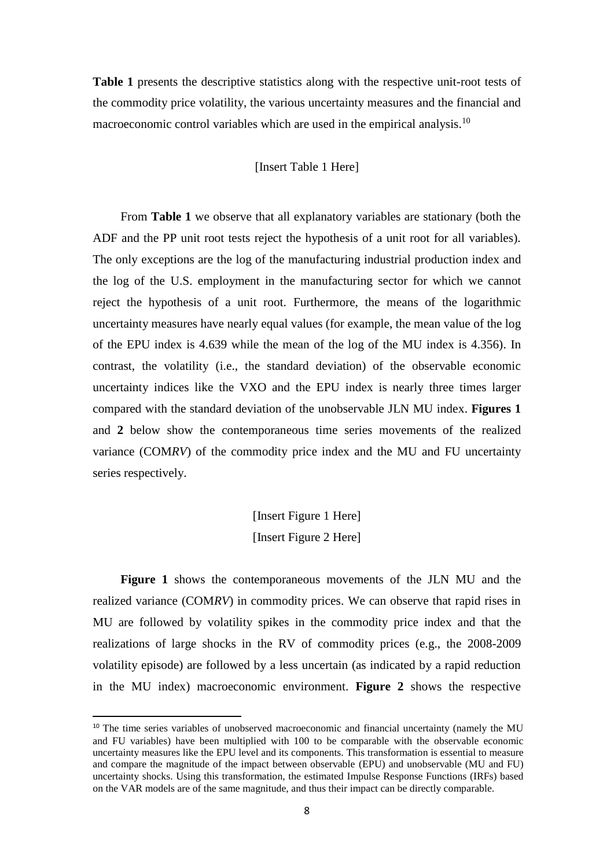**Table 1** presents the descriptive statistics along with the respective unit-root tests of the commodity price volatility, the various uncertainty measures and the financial and macroeconomic control variables which are used in the empirical analysis.<sup>10</sup>

#### [Insert Table 1 Here]

From **Table 1** we observe that all explanatory variables are stationary (both the ADF and the PP unit root tests reject the hypothesis of a unit root for all variables). The only exceptions are the log of the manufacturing industrial production index and the log of the U.S. employment in the manufacturing sector for which we cannot reject the hypothesis of a unit root. Furthermore, the means of the logarithmic uncertainty measures have nearly equal values (for example, the mean value of the log of the EPU index is 4.639 while the mean of the log of the MU index is 4.356). In contrast, the volatility (i.e., the standard deviation) of the observable economic uncertainty indices like the VXO and the EPU index is nearly three times larger compared with the standard deviation of the unobservable JLN MU index. **Figures 1** and **2** below show the contemporaneous time series movements of the realized variance (COM*RV*) of the commodity price index and the MU and FU uncertainty series respectively.

### [Insert Figure 1 Here] [Insert Figure 2 Here]

**Figure 1** shows the contemporaneous movements of the JLN MU and the realized variance (COM*RV*) in commodity prices. We can observe that rapid rises in MU are followed by volatility spikes in the commodity price index and that the realizations of large shocks in the RV of commodity prices (e.g., the 2008-2009 volatility episode) are followed by a less uncertain (as indicated by a rapid reduction in the MU index) macroeconomic environment. **Figure 2** shows the respective

<sup>&</sup>lt;sup>10</sup> The time series variables of unobserved macroeconomic and financial uncertainty (namely the MU and FU variables) have been multiplied with 100 to be comparable with the observable economic uncertainty measures like the EPU level and its components. This transformation is essential to measure and compare the magnitude of the impact between observable (EPU) and unobservable (MU and FU) uncertainty shocks. Using this transformation, the estimated Impulse Response Functions (IRFs) based on the VAR models are of the same magnitude, and thus their impact can be directly comparable.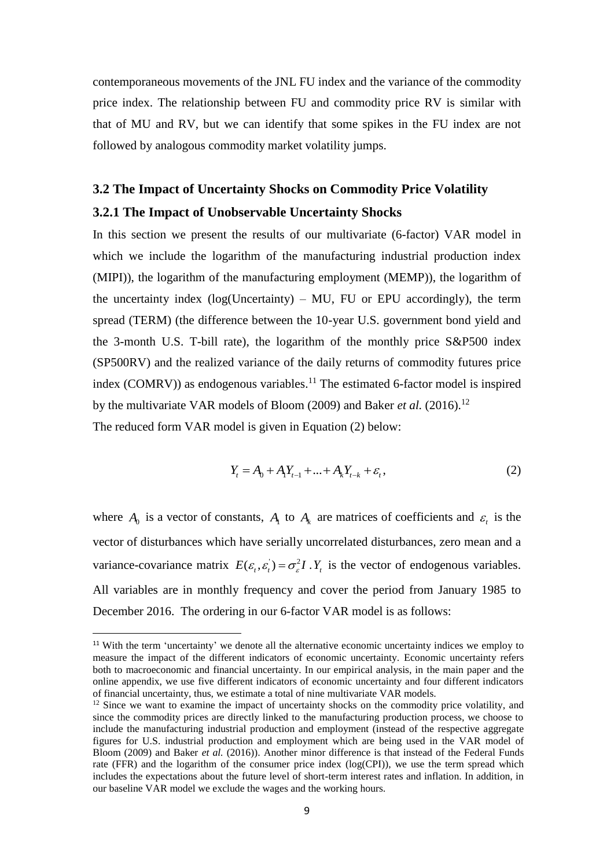contemporaneous movements of the JNL FU index and the variance of the commodity price index. The relationship between FU and commodity price RV is similar with that of MU and RV, but we can identify that some spikes in the FU index are not followed by analogous commodity market volatility jumps.

### **3.2 The Impact of Uncertainty Shocks on Commodity Price Volatility**

#### **3.2.1 The Impact of Unobservable Uncertainty Shocks**

In this section we present the results of our multivariate (6-factor) VAR model in which we include the logarithm of the manufacturing industrial production index (MIPI)), the logarithm of the manufacturing employment (MEMP)), the logarithm of the uncertainty index  $(log(Uncertainty) - MU$ , FU or EPU accordingly), the term spread (TERM) (the difference between the 10-year U.S. government bond yield and the 3-month U.S. T-bill rate), the logarithm of the monthly price S&P500 index (SP500RV) and the realized variance of the daily returns of commodity futures price index (COMRV)) as endogenous variables.<sup>11</sup> The estimated 6-factor model is inspired by the multivariate VAR models of Bloom (2009) and Baker *et al.* (2016).<sup>12</sup> The reduced form VAR model is given in Equation (2) below:

$$
Y_t = A_0 + A_1 Y_{t-1} + \dots + A_k Y_{t-k} + \varepsilon_t,
$$
\n(2)

where  $A_0$  is a vector of constants,  $A_1$  to  $A_k$  are matrices of coefficients and  $\varepsilon$ , is the vector of disturbances which have serially uncorrelated disturbances, zero mean and a variance-covariance matrix  $E(\varepsilon_t, \varepsilon_t) = \sigma_{\varepsilon}^2 I \cdot Y_t$  is the vector of endogenous variables. All variables are in monthly frequency and cover the period from January 1985 to December 2016. The ordering in our 6-factor VAR model is as follows:

<sup>&</sup>lt;sup>11</sup> With the term 'uncertainty' we denote all the alternative economic uncertainty indices we employ to measure the impact of the different indicators of economic uncertainty. Economic uncertainty refers both to macroeconomic and financial uncertainty. In our empirical analysis, in the main paper and the online appendix, we use five different indicators of economic uncertainty and four different indicators of financial uncertainty, thus, we estimate a total of nine multivariate VAR models.

 $12$  Since we want to examine the impact of uncertainty shocks on the commodity price volatility, and since the commodity prices are directly linked to the manufacturing production process, we choose to include the manufacturing industrial production and employment (instead of the respective aggregate figures for U.S. industrial production and employment which are being used in the VAR model of Bloom (2009) and Baker *et al.* (2016)). Another minor difference is that instead of the Federal Funds rate (FFR) and the logarithm of the consumer price index (log(CPI)), we use the term spread which includes the expectations about the future level of short-term interest rates and inflation. In addition, in our baseline VAR model we exclude the wages and the working hours.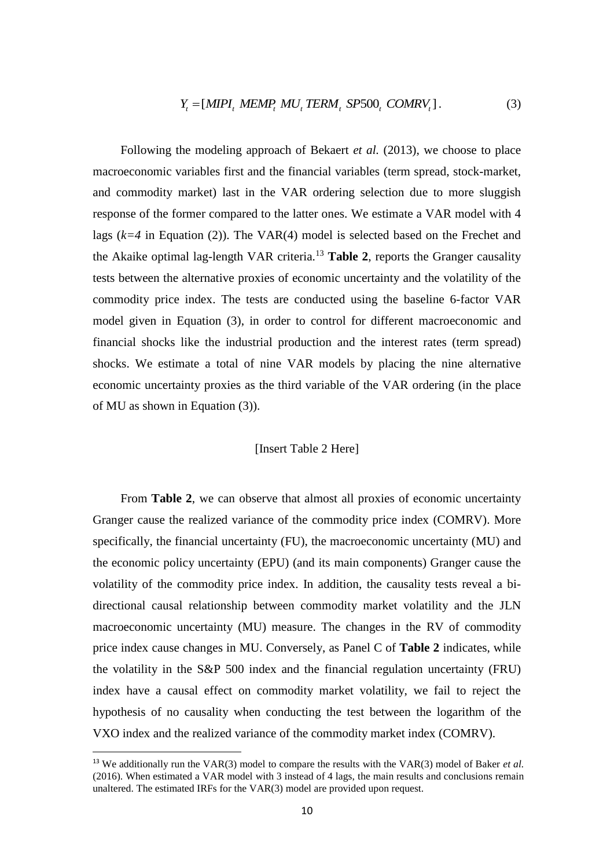$$
Y_{t} = [MIPI_{t} MEMP_{t} MU_{t} TERM_{t} SP500_{t} COMRV_{t}].
$$
\n(3)

Following the modeling approach of Bekaert *et al.* (2013), we choose to place macroeconomic variables first and the financial variables (term spread, stock-market, and commodity market) last in the VAR ordering selection due to more sluggish response of the former compared to the latter ones. We estimate a VAR model with 4 lags (*k=4* in Equation (2)). The VAR(4) model is selected based on the Frechet and the Akaike optimal lag-length VAR criteria. <sup>13</sup> **Table 2**, reports the Granger causality tests between the alternative proxies of economic uncertainty and the volatility of the commodity price index. The tests are conducted using the baseline 6-factor VAR model given in Equation (3), in order to control for different macroeconomic and financial shocks like the industrial production and the interest rates (term spread) shocks. We estimate a total of nine VAR models by placing the nine alternative economic uncertainty proxies as the third variable of the VAR ordering (in the place of MU as shown in Equation (3)).

#### [Insert Table 2 Here]

From **Table 2**, we can observe that almost all proxies of economic uncertainty Granger cause the realized variance of the commodity price index (COMRV). More specifically, the financial uncertainty (FU), the macroeconomic uncertainty (MU) and the economic policy uncertainty (EPU) (and its main components) Granger cause the volatility of the commodity price index. In addition, the causality tests reveal a bidirectional causal relationship between commodity market volatility and the JLN macroeconomic uncertainty (MU) measure. The changes in the RV of commodity price index cause changes in MU. Conversely, as Panel C of **Table 2** indicates, while the volatility in the S&P 500 index and the financial regulation uncertainty (FRU) index have a causal effect on commodity market volatility, we fail to reject the hypothesis of no causality when conducting the test between the logarithm of the VXO index and the realized variance of the commodity market index (COMRV).

<sup>13</sup> We additionally run the VAR(3) model to compare the results with the VAR(3) model of Baker *et al.* (2016). When estimated a VAR model with 3 instead of 4 lags, the main results and conclusions remain unaltered. The estimated IRFs for the VAR(3) model are provided upon request.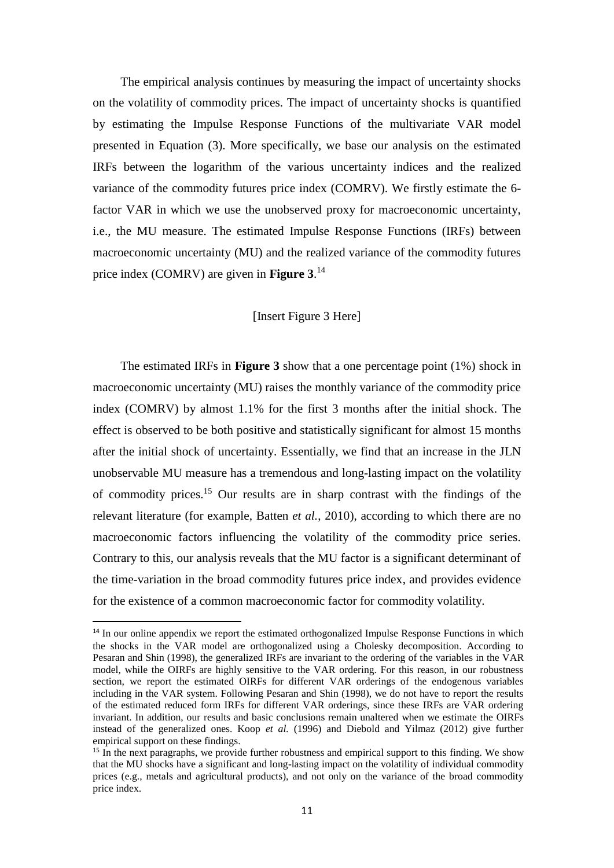The empirical analysis continues by measuring the impact of uncertainty shocks on the volatility of commodity prices. The impact of uncertainty shocks is quantified by estimating the Impulse Response Functions of the multivariate VAR model presented in Equation (3). More specifically, we base our analysis on the estimated IRFs between the logarithm of the various uncertainty indices and the realized variance of the commodity futures price index (COMRV). We firstly estimate the 6 factor VAR in which we use the unobserved proxy for macroeconomic uncertainty, i.e., the MU measure. The estimated Impulse Response Functions (IRFs) between macroeconomic uncertainty (MU) and the realized variance of the commodity futures price index (COMRV) are given in **Figure 3**. 14

#### [Insert Figure 3 Here]

The estimated IRFs in **Figure 3** show that a one percentage point (1%) shock in macroeconomic uncertainty (MU) raises the monthly variance of the commodity price index (COMRV) by almost 1.1% for the first 3 months after the initial shock. The effect is observed to be both positive and statistically significant for almost 15 months after the initial shock of uncertainty. Essentially, we find that an increase in the JLN unobservable MU measure has a tremendous and long-lasting impact on the volatility of commodity prices. <sup>15</sup> Our results are in sharp contrast with the findings of the relevant literature (for example, Batten *et al.*, 2010), according to which there are no macroeconomic factors influencing the volatility of the commodity price series. Contrary to this, our analysis reveals that the MU factor is a significant determinant of the time-variation in the broad commodity futures price index, and provides evidence for the existence of a common macroeconomic factor for commodity volatility.

1

<sup>&</sup>lt;sup>14</sup> In our online appendix we report the estimated orthogonalized Impulse Response Functions in which the shocks in the VAR model are orthogonalized using a Cholesky decomposition. According to Pesaran and Shin (1998), the generalized IRFs are invariant to the ordering of the variables in the VAR model, while the OIRFs are highly sensitive to the VAR ordering. For this reason, in our robustness section, we report the estimated OIRFs for different VAR orderings of the endogenous variables including in the VAR system. Following Pesaran and Shin (1998), we do not have to report the results of the estimated reduced form IRFs for different VAR orderings, since these IRFs are VAR ordering invariant. In addition, our results and basic conclusions remain unaltered when we estimate the OIRFs instead of the generalized ones. Koop *et al.* (1996) and Diebold and Yilmaz (2012) give further empirical support on these findings.

<sup>&</sup>lt;sup>15</sup> In the next paragraphs, we provide further robustness and empirical support to this finding. We show that the MU shocks have a significant and long-lasting impact on the volatility of individual commodity prices (e.g., metals and agricultural products), and not only on the variance of the broad commodity price index.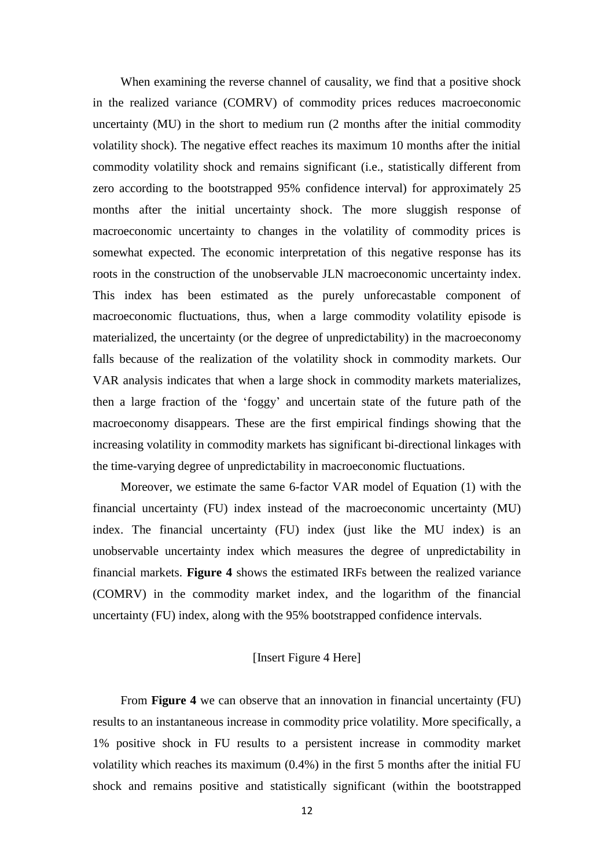When examining the reverse channel of causality, we find that a positive shock in the realized variance (COMRV) of commodity prices reduces macroeconomic uncertainty (MU) in the short to medium run (2 months after the initial commodity volatility shock). The negative effect reaches its maximum 10 months after the initial commodity volatility shock and remains significant (i.e., statistically different from zero according to the bootstrapped 95% confidence interval) for approximately 25 months after the initial uncertainty shock. The more sluggish response of macroeconomic uncertainty to changes in the volatility of commodity prices is somewhat expected. The economic interpretation of this negative response has its roots in the construction of the unobservable JLN macroeconomic uncertainty index. This index has been estimated as the purely unforecastable component of macroeconomic fluctuations, thus, when a large commodity volatility episode is materialized, the uncertainty (or the degree of unpredictability) in the macroeconomy falls because of the realization of the volatility shock in commodity markets. Our VAR analysis indicates that when a large shock in commodity markets materializes, then a large fraction of the 'foggy' and uncertain state of the future path of the macroeconomy disappears. These are the first empirical findings showing that the increasing volatility in commodity markets has significant bi-directional linkages with the time-varying degree of unpredictability in macroeconomic fluctuations.

Moreover, we estimate the same 6-factor VAR model of Equation (1) with the financial uncertainty (FU) index instead of the macroeconomic uncertainty (MU) index. The financial uncertainty (FU) index (just like the MU index) is an unobservable uncertainty index which measures the degree of unpredictability in financial markets. **Figure 4** shows the estimated IRFs between the realized variance (COMRV) in the commodity market index, and the logarithm of the financial uncertainty (FU) index, along with the 95% bootstrapped confidence intervals.

#### [Insert Figure 4 Here]

From **Figure 4** we can observe that an innovation in financial uncertainty (FU) results to an instantaneous increase in commodity price volatility. More specifically, a 1% positive shock in FU results to a persistent increase in commodity market volatility which reaches its maximum (0.4%) in the first 5 months after the initial FU shock and remains positive and statistically significant (within the bootstrapped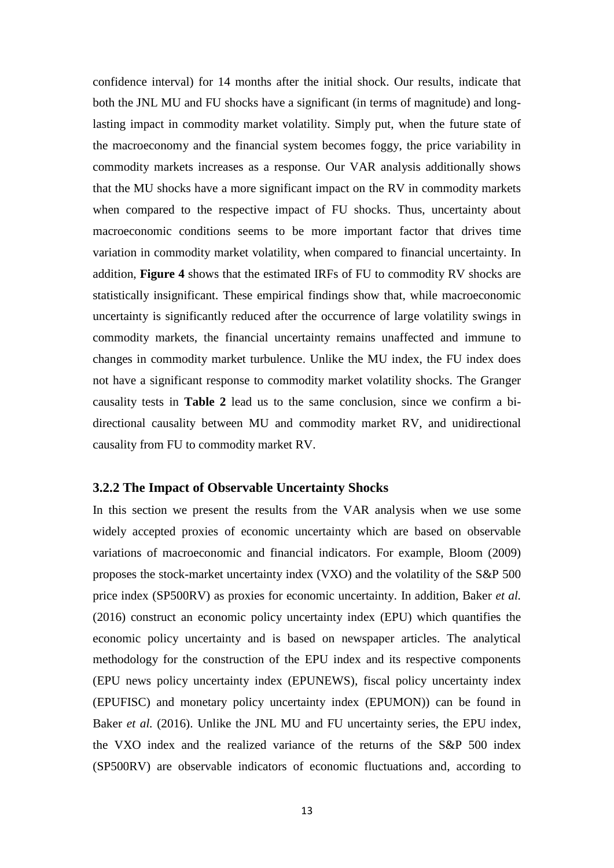confidence interval) for 14 months after the initial shock. Our results, indicate that both the JNL MU and FU shocks have a significant (in terms of magnitude) and longlasting impact in commodity market volatility. Simply put, when the future state of the macroeconomy and the financial system becomes foggy, the price variability in commodity markets increases as a response. Our VAR analysis additionally shows that the MU shocks have a more significant impact on the RV in commodity markets when compared to the respective impact of FU shocks. Thus, uncertainty about macroeconomic conditions seems to be more important factor that drives time variation in commodity market volatility, when compared to financial uncertainty. In addition, **Figure 4** shows that the estimated IRFs of FU to commodity RV shocks are statistically insignificant. These empirical findings show that, while macroeconomic uncertainty is significantly reduced after the occurrence of large volatility swings in commodity markets, the financial uncertainty remains unaffected and immune to changes in commodity market turbulence. Unlike the MU index, the FU index does not have a significant response to commodity market volatility shocks. The Granger causality tests in **Table 2** lead us to the same conclusion, since we confirm a bidirectional causality between MU and commodity market RV, and unidirectional causality from FU to commodity market RV.

#### **3.2.2 The Impact of Observable Uncertainty Shocks**

In this section we present the results from the VAR analysis when we use some widely accepted proxies of economic uncertainty which are based on observable variations of macroeconomic and financial indicators. For example, Bloom (2009) proposes the stock-market uncertainty index (VXO) and the volatility of the S&P 500 price index (SP500RV) as proxies for economic uncertainty. In addition, Baker *et al.* (2016) construct an economic policy uncertainty index (EPU) which quantifies the economic policy uncertainty and is based on newspaper articles. The analytical methodology for the construction of the EPU index and its respective components (EPU news policy uncertainty index (EPUNEWS), fiscal policy uncertainty index (EPUFISC) and monetary policy uncertainty index (EPUMON)) can be found in Baker *et al.* (2016). Unlike the JNL MU and FU uncertainty series, the EPU index, the VXO index and the realized variance of the returns of the S&P 500 index (SP500RV) are observable indicators of economic fluctuations and, according to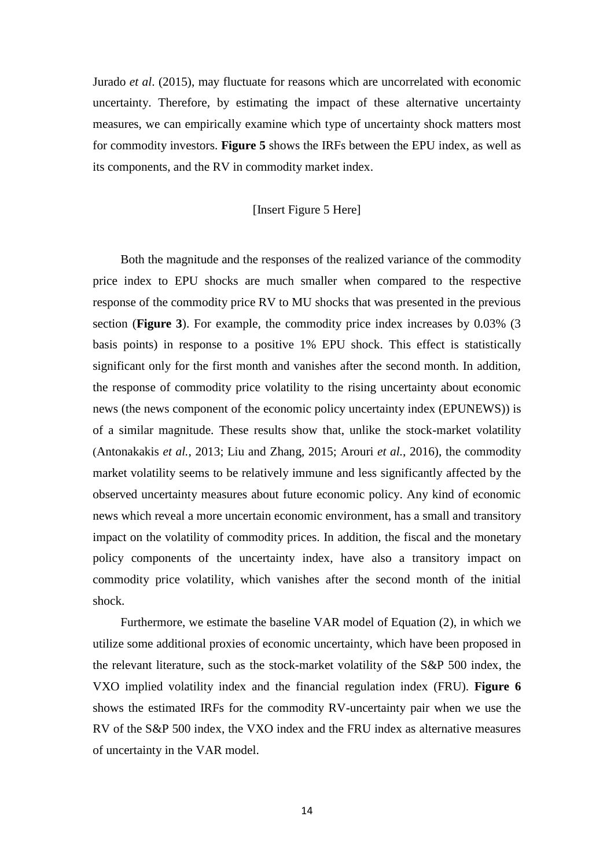Jurado *et al*. (2015), may fluctuate for reasons which are uncorrelated with economic uncertainty. Therefore, by estimating the impact of these alternative uncertainty measures, we can empirically examine which type of uncertainty shock matters most for commodity investors. **Figure 5** shows the IRFs between the EPU index, as well as its components, and the RV in commodity market index.

#### [Insert Figure 5 Here]

Both the magnitude and the responses of the realized variance of the commodity price index to EPU shocks are much smaller when compared to the respective response of the commodity price RV to MU shocks that was presented in the previous section (**Figure 3**). For example, the commodity price index increases by 0.03% (3 basis points) in response to a positive 1% EPU shock. This effect is statistically significant only for the first month and vanishes after the second month. In addition, the response of commodity price volatility to the rising uncertainty about economic news (the news component of the economic policy uncertainty index (EPUNEWS)) is of a similar magnitude. These results show that, unlike the stock-market volatility (Antonakakis *et al.*, 2013; Liu and Zhang, 2015; Arouri *et al.*, 2016), the commodity market volatility seems to be relatively immune and less significantly affected by the observed uncertainty measures about future economic policy. Any kind of economic news which reveal a more uncertain economic environment, has a small and transitory impact on the volatility of commodity prices. In addition, the fiscal and the monetary policy components of the uncertainty index, have also a transitory impact on commodity price volatility, which vanishes after the second month of the initial shock.

Furthermore, we estimate the baseline VAR model of Equation (2), in which we utilize some additional proxies of economic uncertainty, which have been proposed in the relevant literature, such as the stock-market volatility of the S&P 500 index, the VXO implied volatility index and the financial regulation index (FRU). **Figure 6** shows the estimated IRFs for the commodity RV-uncertainty pair when we use the RV of the S&P 500 index, the VXO index and the FRU index as alternative measures of uncertainty in the VAR model.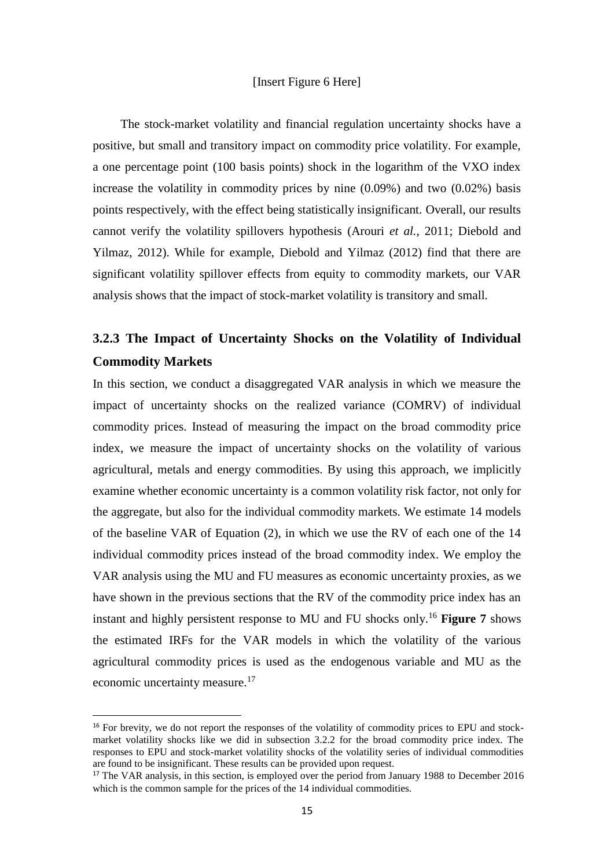#### [Insert Figure 6 Here]

The stock-market volatility and financial regulation uncertainty shocks have a positive, but small and transitory impact on commodity price volatility. For example, a one percentage point (100 basis points) shock in the logarithm of the VXO index increase the volatility in commodity prices by nine (0.09%) and two (0.02%) basis points respectively, with the effect being statistically insignificant. Overall, our results cannot verify the volatility spillovers hypothesis (Arouri *et al.*, 2011; Diebold and Yilmaz, 2012). While for example, Diebold and Yilmaz (2012) find that there are significant volatility spillover effects from equity to commodity markets, our VAR analysis shows that the impact of stock-market volatility is transitory and small.

## **3.2.3 The Impact of Uncertainty Shocks on the Volatility of Individual Commodity Markets**

In this section, we conduct a disaggregated VAR analysis in which we measure the impact of uncertainty shocks on the realized variance (COMRV) of individual commodity prices. Instead of measuring the impact on the broad commodity price index, we measure the impact of uncertainty shocks on the volatility of various agricultural, metals and energy commodities. By using this approach, we implicitly examine whether economic uncertainty is a common volatility risk factor, not only for the aggregate, but also for the individual commodity markets. We estimate 14 models of the baseline VAR of Equation (2), in which we use the RV of each one of the 14 individual commodity prices instead of the broad commodity index. We employ the VAR analysis using the MU and FU measures as economic uncertainty proxies, as we have shown in the previous sections that the RV of the commodity price index has an instant and highly persistent response to MU and FU shocks only. <sup>16</sup> **Figure 7** shows the estimated IRFs for the VAR models in which the volatility of the various agricultural commodity prices is used as the endogenous variable and MU as the economic uncertainty measure.<sup>17</sup>

<sup>&</sup>lt;sup>16</sup> For brevity, we do not report the responses of the volatility of commodity prices to EPU and stockmarket volatility shocks like we did in subsection 3.2.2 for the broad commodity price index. The responses to EPU and stock-market volatility shocks of the volatility series of individual commodities are found to be insignificant. These results can be provided upon request.

<sup>&</sup>lt;sup>17</sup> The VAR analysis, in this section, is employed over the period from January 1988 to December 2016 which is the common sample for the prices of the 14 individual commodities.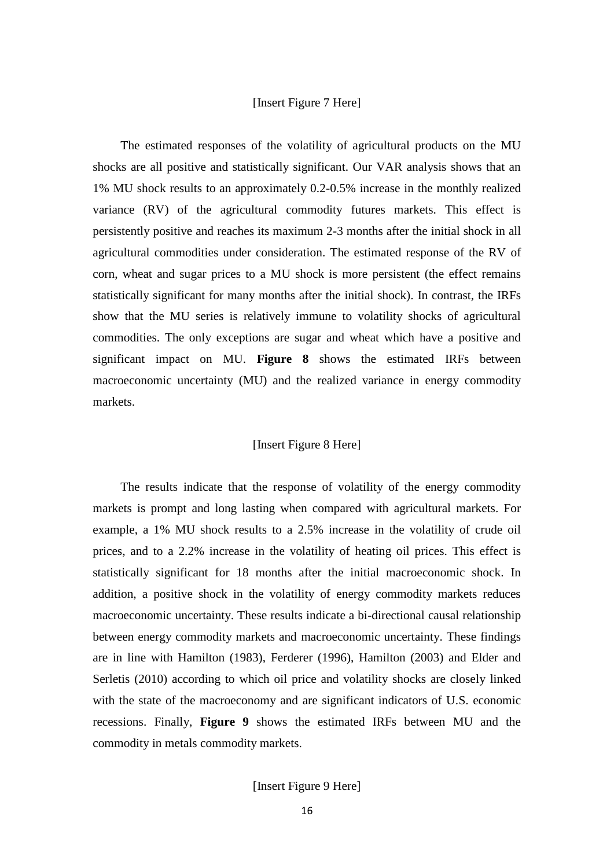#### [Insert Figure 7 Here]

The estimated responses of the volatility of agricultural products on the MU shocks are all positive and statistically significant. Our VAR analysis shows that an 1% MU shock results to an approximately 0.2-0.5% increase in the monthly realized variance (RV) of the agricultural commodity futures markets. This effect is persistently positive and reaches its maximum 2-3 months after the initial shock in all agricultural commodities under consideration. The estimated response of the RV of corn, wheat and sugar prices to a MU shock is more persistent (the effect remains statistically significant for many months after the initial shock). In contrast, the IRFs show that the MU series is relatively immune to volatility shocks of agricultural commodities. The only exceptions are sugar and wheat which have a positive and significant impact on MU. **Figure 8** shows the estimated IRFs between macroeconomic uncertainty (MU) and the realized variance in energy commodity markets.

#### [Insert Figure 8 Here]

The results indicate that the response of volatility of the energy commodity markets is prompt and long lasting when compared with agricultural markets. For example, a 1% MU shock results to a 2.5% increase in the volatility of crude oil prices, and to a 2.2% increase in the volatility of heating oil prices. This effect is statistically significant for 18 months after the initial macroeconomic shock. In addition, a positive shock in the volatility of energy commodity markets reduces macroeconomic uncertainty. These results indicate a bi-directional causal relationship between energy commodity markets and macroeconomic uncertainty. These findings are in line with Hamilton (1983), Ferderer (1996), Hamilton (2003) and Elder and Serletis (2010) according to which oil price and volatility shocks are closely linked with the state of the macroeconomy and are significant indicators of U.S. economic recessions. Finally, **Figure 9** shows the estimated IRFs between MU and the commodity in metals commodity markets.

[Insert Figure 9 Here]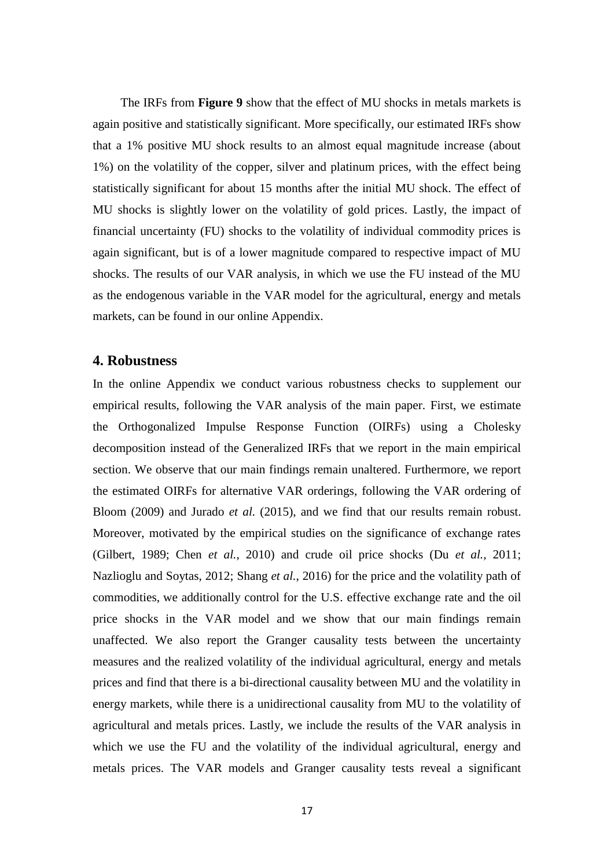The IRFs from **Figure 9** show that the effect of MU shocks in metals markets is again positive and statistically significant. More specifically, our estimated IRFs show that a 1% positive MU shock results to an almost equal magnitude increase (about 1%) on the volatility of the copper, silver and platinum prices, with the effect being statistically significant for about 15 months after the initial MU shock. The effect of MU shocks is slightly lower on the volatility of gold prices. Lastly, the impact of financial uncertainty (FU) shocks to the volatility of individual commodity prices is again significant, but is of a lower magnitude compared to respective impact of MU shocks. The results of our VAR analysis, in which we use the FU instead of the MU as the endogenous variable in the VAR model for the agricultural, energy and metals markets, can be found in our online Appendix.

#### **4. Robustness**

In the online Appendix we conduct various robustness checks to supplement our empirical results, following the VAR analysis of the main paper. First, we estimate the Orthogonalized Impulse Response Function (OIRFs) using a Cholesky decomposition instead of the Generalized IRFs that we report in the main empirical section. We observe that our main findings remain unaltered. Furthermore, we report the estimated OIRFs for alternative VAR orderings, following the VAR ordering of Bloom (2009) and Jurado *et al.* (2015), and we find that our results remain robust. Moreover, motivated by the empirical studies on the significance of exchange rates (Gilbert, 1989; Chen *et al.*, 2010) and crude oil price shocks (Du *et al.*, 2011; Nazlioglu and Soytas, 2012; Shang *et al.*, 2016) for the price and the volatility path of commodities, we additionally control for the U.S. effective exchange rate and the oil price shocks in the VAR model and we show that our main findings remain unaffected. We also report the Granger causality tests between the uncertainty measures and the realized volatility of the individual agricultural, energy and metals prices and find that there is a bi-directional causality between MU and the volatility in energy markets, while there is a unidirectional causality from MU to the volatility of agricultural and metals prices. Lastly, we include the results of the VAR analysis in which we use the FU and the volatility of the individual agricultural, energy and metals prices. The VAR models and Granger causality tests reveal a significant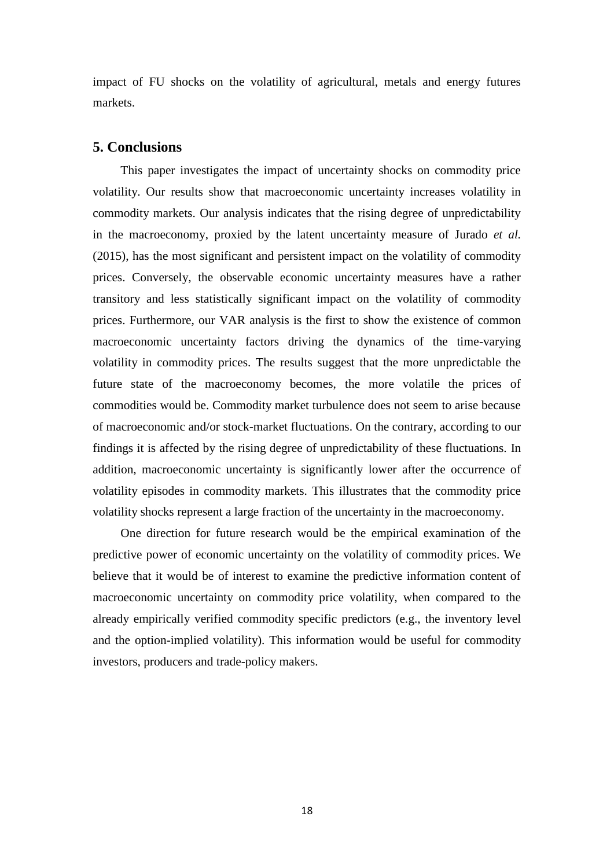impact of FU shocks on the volatility of agricultural, metals and energy futures markets.

### **5. Conclusions**

This paper investigates the impact of uncertainty shocks on commodity price volatility. Our results show that macroeconomic uncertainty increases volatility in commodity markets. Our analysis indicates that the rising degree of unpredictability in the macroeconomy, proxied by the latent uncertainty measure of Jurado *et al.* (2015), has the most significant and persistent impact on the volatility of commodity prices. Conversely, the observable economic uncertainty measures have a rather transitory and less statistically significant impact on the volatility of commodity prices. Furthermore, our VAR analysis is the first to show the existence of common macroeconomic uncertainty factors driving the dynamics of the time-varying volatility in commodity prices. The results suggest that the more unpredictable the future state of the macroeconomy becomes, the more volatile the prices of commodities would be. Commodity market turbulence does not seem to arise because of macroeconomic and/or stock-market fluctuations. On the contrary, according to our findings it is affected by the rising degree of unpredictability of these fluctuations. In addition, macroeconomic uncertainty is significantly lower after the occurrence of volatility episodes in commodity markets. This illustrates that the commodity price volatility shocks represent a large fraction of the uncertainty in the macroeconomy.

One direction for future research would be the empirical examination of the predictive power of economic uncertainty on the volatility of commodity prices. We believe that it would be of interest to examine the predictive information content of macroeconomic uncertainty on commodity price volatility, when compared to the already empirically verified commodity specific predictors (e.g., the inventory level and the option-implied volatility). This information would be useful for commodity investors, producers and trade-policy makers.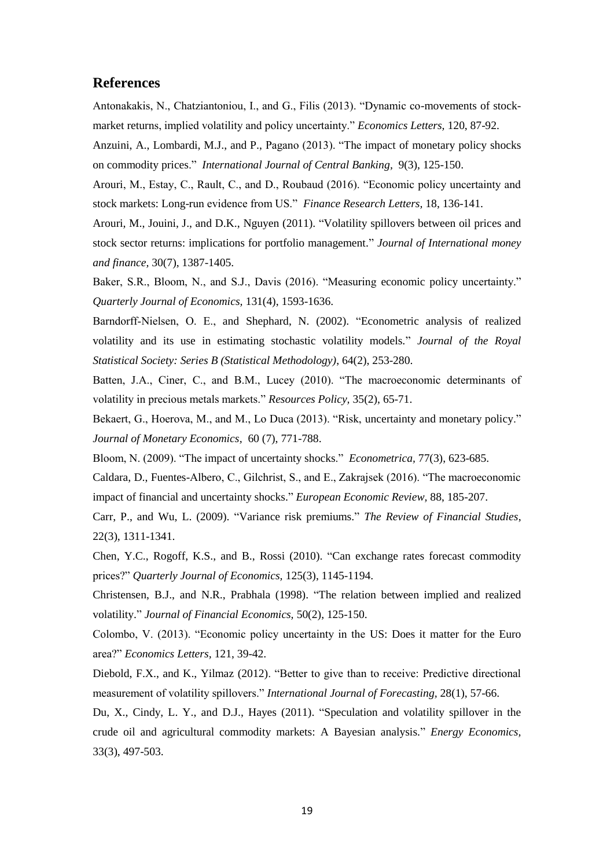### **References**

Antonakakis, N., Chatziantoniou, I., and G., Filis (2013). "Dynamic co-movements of stockmarket returns, implied volatility and policy uncertainty." *Economics Letters,* 120, 87-92.

Anzuini, A., Lombardi, M.J., and P., Pagano (2013). "The impact of monetary policy shocks on commodity prices." *International Journal of Central Banking,* 9(3), 125-150.

Arouri, M., Estay, C., Rault, C., and D., Roubaud (2016). "Economic policy uncertainty and stock markets: Long-run evidence from US." *Finance Research Letters,* 18, 136-141.

Arouri, M., Jouini, J., and D.K., Nguyen (2011). "Volatility spillovers between oil prices and stock sector returns: implications for portfolio management." *Journal of International money and finance,* 30(7), 1387-1405.

Baker, S.R., Bloom, N., and S.J., Davis (2016). "Measuring economic policy uncertainty." *Quarterly Journal of Economics,* 131(4), 1593-1636.

Barndorff‐Nielsen, O. E., and Shephard, N. (2002). "Econometric analysis of realized volatility and its use in estimating stochastic volatility models." *Journal of the Royal Statistical Society: Series B (Statistical Methodology)*, 64(2), 253-280.

Batten, J.A., Ciner, C., and B.M., Lucey (2010). "The macroeconomic determinants of volatility in precious metals markets." *Resources Policy,* 35(2), 65-71.

Bekaert, G., Hoerova, M., and M., Lo Duca (2013). "Risk, uncertainty and monetary policy." *Journal of Monetary Economics,* 60 (7), 771-788.

Bloom, N. (2009). "The impact of uncertainty shocks." *Econometrica,* 77(3), 623-685.

Caldara, D., Fuentes-Albero, C., Gilchrist, S., and E., Zakrajsek (2016). "The macroeconomic impact of financial and uncertainty shocks." *European Economic Review,* 88, 185-207.

Carr, P., and Wu, L. (2009). "Variance risk premiums." *The Review of Financial Studies*, 22(3), 1311-1341.

Chen, Y.C., Rogoff, K.S., and B., Rossi (2010). "Can exchange rates forecast commodity prices?" *Quarterly Journal of Economics,* 125(3), 1145-1194.

Christensen, B.J., and N.R., Prabhala (1998). "The relation between implied and realized volatility." *Journal of Financial Economics,* 50(2), 125-150.

Colombo, V. (2013). "Economic policy uncertainty in the US: Does it matter for the Euro area?" *Economics Letters,* 121, 39-42.

Diebold, F.X., and K., Yilmaz (2012). "Better to give than to receive: Predictive directional measurement of volatility spillovers." *International Journal of Forecasting,* 28(1), 57-66.

Du, X., Cindy, L. Y., and D.J., Hayes (2011). "Speculation and volatility spillover in the crude oil and agricultural commodity markets: A Bayesian analysis." *Energy Economics,* 33(3), 497-503.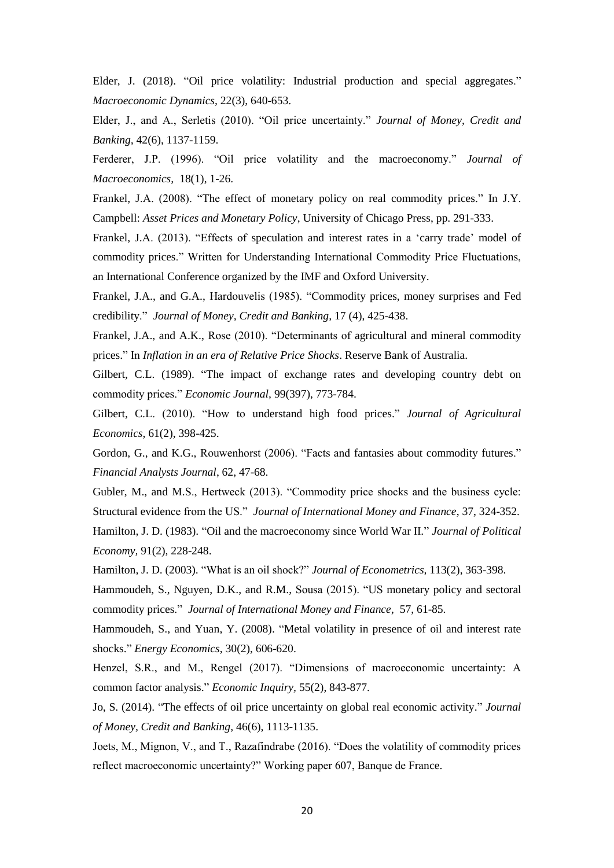Elder, J. (2018). "Oil price volatility: Industrial production and special aggregates." *Macroeconomic Dynamics,* 22(3), 640-653.

Elder, J., and A., Serletis (2010). "Oil price uncertainty." *Journal of Money, Credit and Banking,* 42(6), 1137-1159.

Ferderer, J.P. (1996). "Oil price volatility and the macroeconomy." *Journal of Macroeconomics,* 18(1), 1-26.

Frankel, J.A. (2008). "The effect of monetary policy on real commodity prices." In J.Y. Campbell: *Asset Prices and Monetary Policy*, University of Chicago Press, pp. 291-333.

Frankel, J.A. (2013). "Effects of speculation and interest rates in a 'carry trade' model of commodity prices." Written for Understanding International Commodity Price Fluctuations, an International Conference organized by the IMF and Oxford University.

Frankel, J.A., and G.A., Hardouvelis (1985). "Commodity prices, money surprises and Fed credibility." *Journal of Money, Credit and Banking,* 17 (4), 425-438.

Frankel, J.A., and A.K., Rose (2010). "Determinants of agricultural and mineral commodity prices." In *Inflation in an era of Relative Price Shocks*. Reserve Bank of Australia.

Gilbert, C.L. (1989). "The impact of exchange rates and developing country debt on commodity prices." *Economic Journal,* 99(397), 773-784.

Gilbert, C.L. (2010). "How to understand high food prices." *Journal of Agricultural Economics*, 61(2), 398-425.

Gordon, G., and K.G., Rouwenhorst (2006). "Facts and fantasies about commodity futures." *Financial Analysts Journal*, 62, 47-68.

Gubler, M., and M.S., Hertweck (2013). "Commodity price shocks and the business cycle: Structural evidence from the US." *Journal of International Money and Finance*, 37, 324-352. Hamilton, J. D. (1983). "Oil and the macroeconomy since World War II." *Journal of Political Economy,* 91(2), 228-248.

Hamilton, J. D. (2003). "What is an oil shock?" *Journal of Econometrics,* 113(2), 363-398.

Hammoudeh, S., Nguyen, D.K., and R.M., Sousa (2015). "US monetary policy and sectoral commodity prices." *Journal of International Money and Finance*, 57, 61-85.

Hammoudeh, S., and Yuan, Y. (2008). "Metal volatility in presence of oil and interest rate shocks." *Energy Economics*, 30(2), 606-620.

Henzel, S.R., and M., Rengel (2017). "Dimensions of macroeconomic uncertainty: A common factor analysis." *Economic Inquiry,* 55(2), 843-877.

Jo, S. (2014). "The effects of oil price uncertainty on global real economic activity." *Journal of Money, Credit and Banking,* 46(6), 1113-1135.

Joets, M., Mignon, V., and T., Razafindrabe (2016). "Does the volatility of commodity prices reflect macroeconomic uncertainty?" Working paper 607, Banque de France.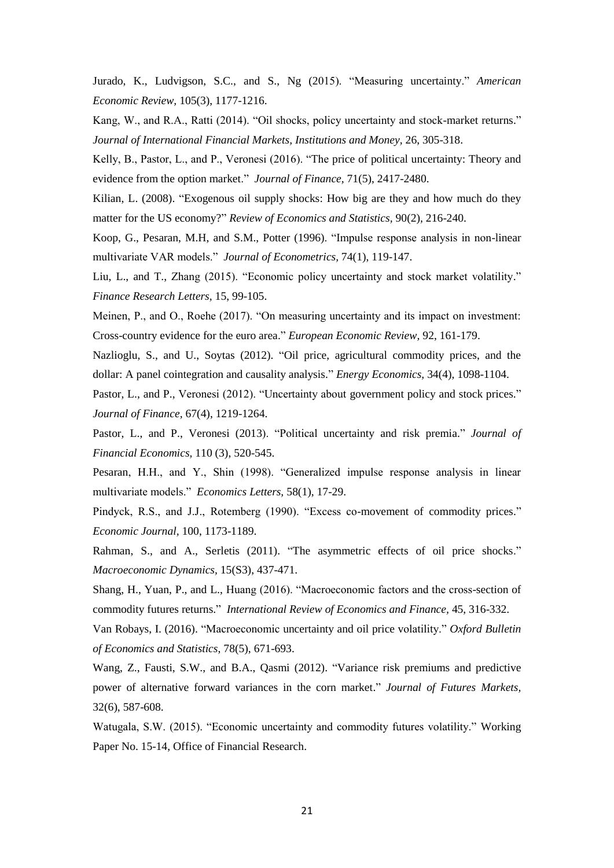Jurado, K., Ludvigson, S.C., and S., Ng (2015). "Measuring uncertainty." *American Economic Review,* 105(3), 1177-1216.

Kang, W., and R.A., Ratti (2014). "Oil shocks, policy uncertainty and stock-market returns." *Journal of International Financial Markets, Institutions and Money,* 26, 305-318.

Kelly, B., Pastor, L., and P., Veronesi (2016). "The price of political uncertainty: Theory and evidence from the option market." *Journal of Finance,* 71(5), 2417-2480.

Kilian, L. (2008). "Exogenous oil supply shocks: How big are they and how much do they matter for the US economy?" *Review of Economics and Statistics,* 90(2), 216-240.

Koop, G., Pesaran, M.H, and S.M., Potter (1996). "Impulse response analysis in non-linear multivariate VAR models." *Journal of Econometrics,* 74(1), 119-147.

Liu, L., and T., Zhang (2015). "Economic policy uncertainty and stock market volatility." *Finance Research Letters,* 15, 99-105.

Meinen, P., and O., Roehe (2017). "On measuring uncertainty and its impact on investment: Cross-country evidence for the euro area." *European Economic Review,* 92, 161-179.

Nazlioglu, S., and U., Soytas (2012). "Oil price, agricultural commodity prices, and the dollar: A panel cointegration and causality analysis." *Energy Economics,* 34(4), 1098-1104.

Pastor, L., and P., Veronesi (2012). "Uncertainty about government policy and stock prices." *Journal of Finance,* 67(4), 1219-1264.

Pastor, L., and P., Veronesi (2013). "Political uncertainty and risk premia." *Journal of Financial Economics,* 110 (3), 520-545.

Pesaran, H.H., and Y., Shin (1998). "Generalized impulse response analysis in linear multivariate models." *Economics Letters,* 58(1), 17-29.

Pindyck, R.S., and J.J., Rotemberg (1990). "Excess co-movement of commodity prices." *Economic Journal,* 100, 1173-1189.

Rahman, S., and A., Serletis (2011). "The asymmetric effects of oil price shocks." *Macroeconomic Dynamics,* 15(S3), 437-471.

Shang, H., Yuan, P., and L., Huang (2016). "Macroeconomic factors and the cross-section of commodity futures returns." *International Review of Economics and Finance,* 45, 316-332.

Van Robays, I. (2016). "Macroeconomic uncertainty and oil price volatility." *Oxford Bulletin of Economics and Statistics*, 78(5), 671-693.

Wang, Z., Fausti, S.W., and B.A., Qasmi (2012). "Variance risk premiums and predictive power of alternative forward variances in the corn market." *Journal of Futures Markets,* 32(6), 587-608.

Watugala, S.W. (2015). "Economic uncertainty and commodity futures volatility." Working Paper No. 15-14, Office of Financial Research.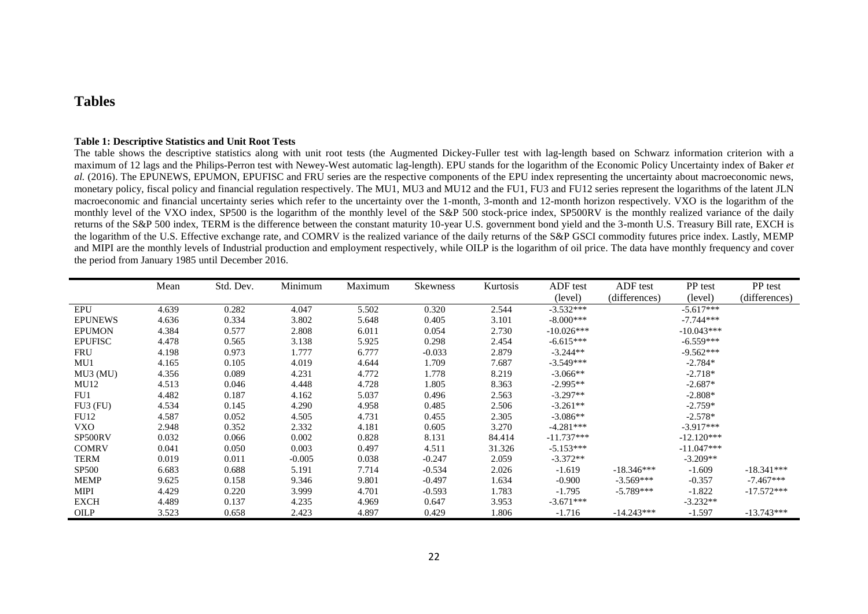### **Tables**

#### **Table 1: Descriptive Statistics and Unit Root Tests**

The table shows the descriptive statistics along with unit root tests (the Augmented Dickey-Fuller test with lag-length based on Schwarz information criterion with a maximum of 12 lags and the Philips-Perron test with Newey-West automatic lag-length). EPU stands for the logarithm of the Economic Policy Uncertainty index of Baker *et al.* (2016). The EPUNEWS, EPUMON, EPUFISC and FRU series are the respective components of the EPU index representing the uncertainty about macroeconomic news, monetary policy, fiscal policy and financial regulation respectively. The MU1, MU3 and MU12 and the FU1, FU3 and FU12 series represent the logarithms of the latent JLN macroeconomic and financial uncertainty series which refer to the uncertainty over the 1-month, 3-month and 12-month horizon respectively. VXO is the logarithm of the monthly level of the VXO index, SP500 is the logarithm of the monthly level of the S&P 500 stock-price index, SP500RV is the monthly realized variance of the daily returns of the S&P 500 index, TERM is the difference between the constant maturity 10-year U.S. government bond yield and the 3-month U.S. Treasury Bill rate, EXCH is the logarithm of the U.S. Effective exchange rate, and COMRV is the realized variance of the daily returns of the S&P GSCI commodity futures price index. Lastly, MEMP and MIPI are the monthly levels of Industrial production and employment respectively, while OILP is the logarithm of oil price. The data have monthly frequency and cover the period from January 1985 until December 2016.

|                  | Mean  | Std. Dev. | Minimum  | Maximum | Skewness | Kurtosis | ADF test     | ADF test      | PP test      | PP test       |
|------------------|-------|-----------|----------|---------|----------|----------|--------------|---------------|--------------|---------------|
|                  |       |           |          |         |          |          | (level)      | (differences) | (level)      | (differences) |
| <b>EPU</b>       | 4.639 | 0.282     | 4.047    | 5.502   | 0.320    | 2.544    | $-3.532***$  |               | $-5.617***$  |               |
| <b>EPUNEWS</b>   | 4.636 | 0.334     | 3.802    | 5.648   | 0.405    | 3.101    | $-8.000***$  |               | $-7.744***$  |               |
| <b>EPUMON</b>    | 4.384 | 0.577     | 2.808    | 6.011   | 0.054    | 2.730    | $-10.026***$ |               | $-10.043***$ |               |
| <b>EPUFISC</b>   | 4.478 | 0.565     | 3.138    | 5.925   | 0.298    | 2.454    | $-6.615***$  |               | $-6.559***$  |               |
| FRU              | 4.198 | 0.973     | 1.777    | 6.777   | $-0.033$ | 2.879    | $-3.244**$   |               | $-9.562***$  |               |
| MU1              | 4.165 | 0.105     | 4.019    | 4.644   | 1.709    | 7.687    | $-3.549***$  |               | $-2.784*$    |               |
| MU3 (MU)         | 4.356 | 0.089     | 4.231    | 4.772   | 1.778    | 8.219    | $-3.066**$   |               | $-2.718*$    |               |
| MU12             | 4.513 | 0.046     | 4.448    | 4.728   | 1.805    | 8.363    | $-2.995**$   |               | $-2.687*$    |               |
| FU1              | 4.482 | 0.187     | 4.162    | 5.037   | 0.496    | 2.563    | $-3.297**$   |               | $-2.808*$    |               |
| $FU3$ (FU)       | 4.534 | 0.145     | 4.290    | 4.958   | 0.485    | 2.506    | $-3.261**$   |               | $-2.759*$    |               |
| FU <sub>12</sub> | 4.587 | 0.052     | 4.505    | 4.731   | 0.455    | 2.305    | $-3.086**$   |               | $-2.578*$    |               |
| VXO              | 2.948 | 0.352     | 2.332    | 4.181   | 0.605    | 3.270    | $-4.281***$  |               | $-3.917***$  |               |
| SP500RV          | 0.032 | 0.066     | 0.002    | 0.828   | 8.131    | 84.414   | $-11.737***$ |               | $-12.120***$ |               |
| <b>COMRV</b>     | 0.041 | 0.050     | 0.003    | 0.497   | 4.511    | 31.326   | $-5.153***$  |               | $-11.047***$ |               |
| <b>TERM</b>      | 0.019 | 0.011     | $-0.005$ | 0.038   | $-0.247$ | 2.059    | $-3.372**$   |               | $-3.209**$   |               |
| <b>SP500</b>     | 6.683 | 0.688     | 5.191    | 7.714   | $-0.534$ | 2.026    | $-1.619$     | $-18.346***$  | $-1.609$     | $-18.341***$  |
| <b>MEMP</b>      | 9.625 | 0.158     | 9.346    | 9.801   | $-0.497$ | 1.634    | $-0.900$     | $-3.569***$   | $-0.357$     | $-7.467***$   |
| MIPI             | 4.429 | 0.220     | 3.999    | 4.701   | $-0.593$ | 1.783    | $-1.795$     | $-5.789***$   | $-1.822$     | $-17.572***$  |
| <b>EXCH</b>      | 4.489 | 0.137     | 4.235    | 4.969   | 0.647    | 3.953    | $-3.671***$  |               | $-3.232**$   |               |
| <b>OILP</b>      | 3.523 | 0.658     | 2.423    | 4.897   | 0.429    | 1.806    | $-1.716$     | $-14.243***$  | $-1.597$     | $-13.743***$  |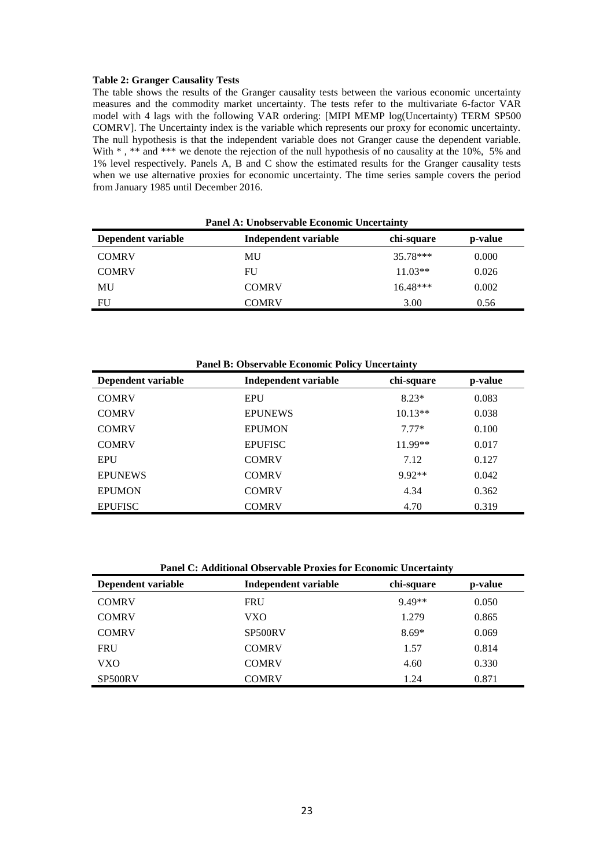#### **Table 2: Granger Causality Tests**

The table shows the results of the Granger causality tests between the various economic uncertainty measures and the commodity market uncertainty. The tests refer to the multivariate 6-factor VAR model with 4 lags with the following VAR ordering: [MIPI MEMP log(Uncertainty) TERM SP500 COMRV]. The Uncertainty index is the variable which represents our proxy for economic uncertainty. The null hypothesis is that the independent variable does not Granger cause the dependent variable. With  $*$ ,  $**$  and  $***$  we denote the rejection of the null hypothesis of no causality at the 10%, 5% and 1% level respectively. Panels A, B and C show the estimated results for the Granger causality tests when we use alternative proxies for economic uncertainty. The time series sample covers the period from January 1985 until December 2016.

| Panel A: Unobservable Economic Uncertainty |                      |            |         |  |  |
|--------------------------------------------|----------------------|------------|---------|--|--|
| Dependent variable                         | Independent variable | chi-square | p-value |  |  |
| <b>COMRV</b>                               | MU                   | 35.78***   | 0.000   |  |  |
| <b>COMRV</b>                               | FU                   | $11.03**$  | 0.026   |  |  |
| MU                                         | <b>COMRV</b>         | $16.48***$ | 0.002   |  |  |
| FU                                         | <b>COMRV</b>         | 3.00       | 0.56    |  |  |
|                                            |                      |            |         |  |  |

|  |  | <b>Panel B: Observable Economic Policy Uncertainty</b> |
|--|--|--------------------------------------------------------|
|  |  |                                                        |

| Dependent variable | Independent variable | chi-square | p-value |
|--------------------|----------------------|------------|---------|
| <b>COMRV</b>       | EPU                  | $8.23*$    | 0.083   |
| <b>COMRV</b>       | <b>EPUNEWS</b>       | $10.13**$  | 0.038   |
| <b>COMRV</b>       | <b>EPUMON</b>        | $7.77*$    | 0.100   |
| <b>COMRV</b>       | <b>EPUFISC</b>       | 11.99**    | 0.017   |
| <b>EPU</b>         | <b>COMRV</b>         | 7.12       | 0.127   |
| <b>EPUNEWS</b>     | <b>COMRV</b>         | $9.92**$   | 0.042   |
| <b>EPUMON</b>      | COMRV                | 4.34       | 0.362   |
| <b>EPUFISC</b>     | <b>COMRV</b>         | 4.70       | 0.319   |

**Panel C: Additional Observable Proxies for Economic Uncertainty**

| Dependent variable | Independent variable | chi-square | p-value |
|--------------------|----------------------|------------|---------|
| <b>COMRV</b>       | <b>FRU</b>           | 9.49**     | 0.050   |
| <b>COMRV</b>       | VXO                  | 1.279      | 0.865   |
| <b>COMRV</b>       | SP500RV              | $8.69*$    | 0.069   |
| <b>FRU</b>         | <b>COMRV</b>         | 1.57       | 0.814   |
| <b>VXO</b>         | <b>COMRV</b>         | 4.60       | 0.330   |
| SP500RV            | <b>COMRV</b>         | 1.24       | 0.871   |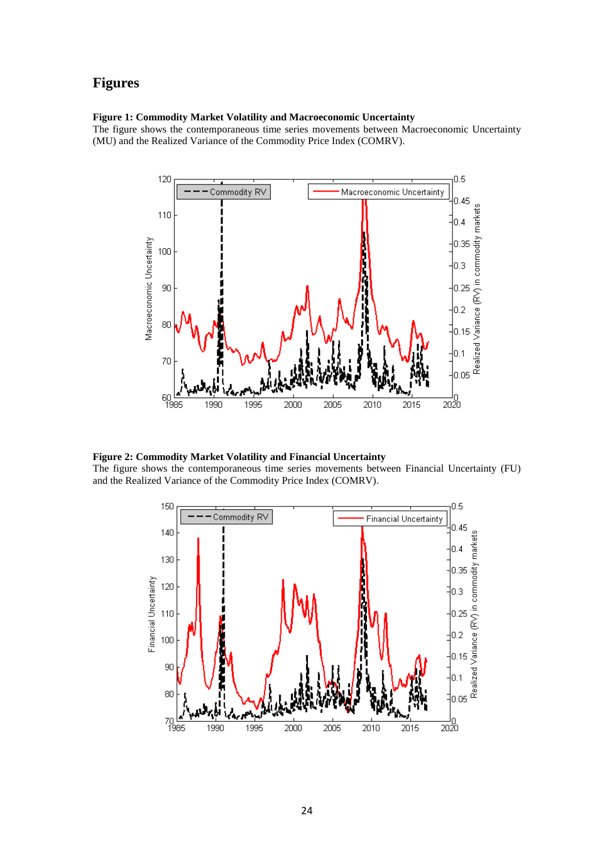### **Figures**

#### **Figure 1: Commodity Market Volatility and Macroeconomic Uncertainty**

The figure shows the contemporaneous time series movements between Macroeconomic Uncertainty (MU) and the Realized Variance of the Commodity Price Index (COMRV).



**Figure 2: Commodity Market Volatility and Financial Uncertainty** The figure shows the contemporaneous time series movements between Financial Uncertainty (FU) and the Realized Variance of the Commodity Price Index (COMRV).

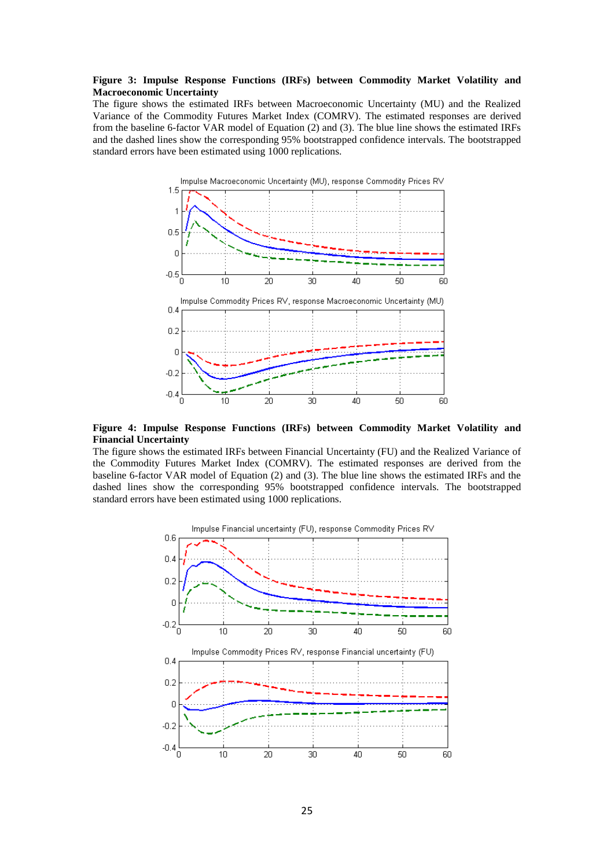#### **Figure 3: Impulse Response Functions (IRFs) between Commodity Market Volatility and Macroeconomic Uncertainty**

The figure shows the estimated IRFs between Macroeconomic Uncertainty (MU) and the Realized Variance of the Commodity Futures Market Index (COMRV). The estimated responses are derived from the baseline 6-factor VAR model of Equation (2) and (3). The blue line shows the estimated IRFs and the dashed lines show the corresponding 95% bootstrapped confidence intervals. The bootstrapped standard errors have been estimated using 1000 replications.



**Figure 4: Impulse Response Functions (IRFs) between Commodity Market Volatility and Financial Uncertainty** 

The figure shows the estimated IRFs between Financial Uncertainty (FU) and the Realized Variance of the Commodity Futures Market Index (COMRV). The estimated responses are derived from the baseline 6-factor VAR model of Equation (2) and (3). The blue line shows the estimated IRFs and the dashed lines show the corresponding 95% bootstrapped confidence intervals. The bootstrapped standard errors have been estimated using 1000 replications.

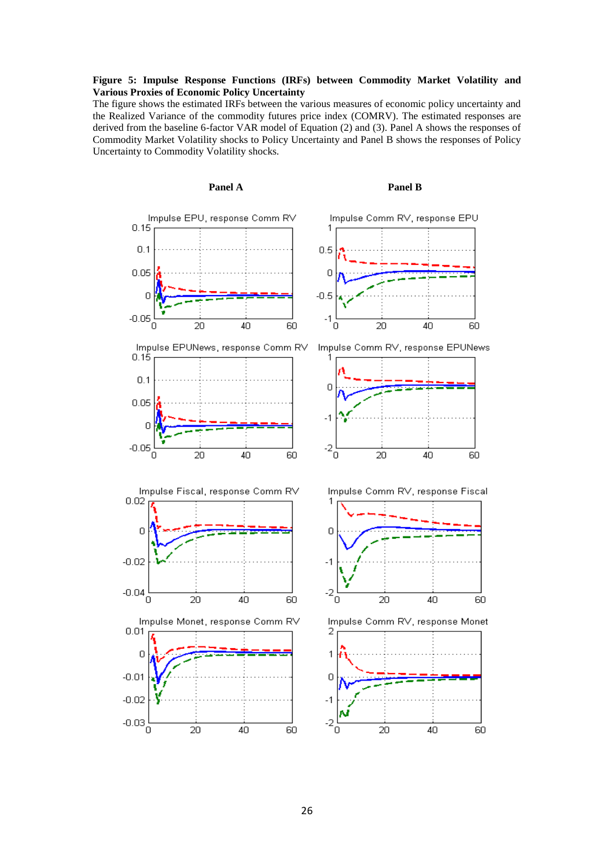#### **Figure 5: Impulse Response Functions (IRFs) between Commodity Market Volatility and Various Proxies of Economic Policy Uncertainty**

The figure shows the estimated IRFs between the various measures of economic policy uncertainty and the Realized Variance of the commodity futures price index (COMRV). The estimated responses are derived from the baseline 6-factor VAR model of Equation (2) and (3). Panel A shows the responses of Commodity Market Volatility shocks to Policy Uncertainty and Panel B shows the responses of Policy Uncertainty to Commodity Volatility shocks.

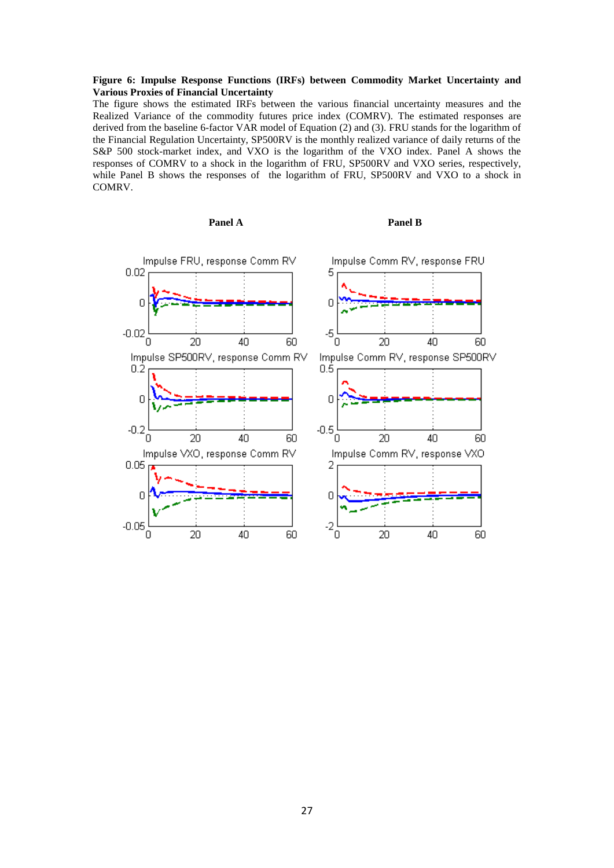#### **Figure 6: Impulse Response Functions (IRFs) between Commodity Market Uncertainty and Various Proxies of Financial Uncertainty**

The figure shows the estimated IRFs between the various financial uncertainty measures and the Realized Variance of the commodity futures price index (COMRV). The estimated responses are derived from the baseline 6-factor VAR model of Equation (2) and (3). FRU stands for the logarithm of the Financial Regulation Uncertainty, SP500RV is the monthly realized variance of daily returns of the S&P 500 stock-market index, and VXO is the logarithm of the VXO index. Panel A shows the responses of COMRV to a shock in the logarithm of FRU, SP500RV and VXO series, respectively, while Panel B shows the responses of the logarithm of FRU, SP500RV and VXO to a shock in COMRV.



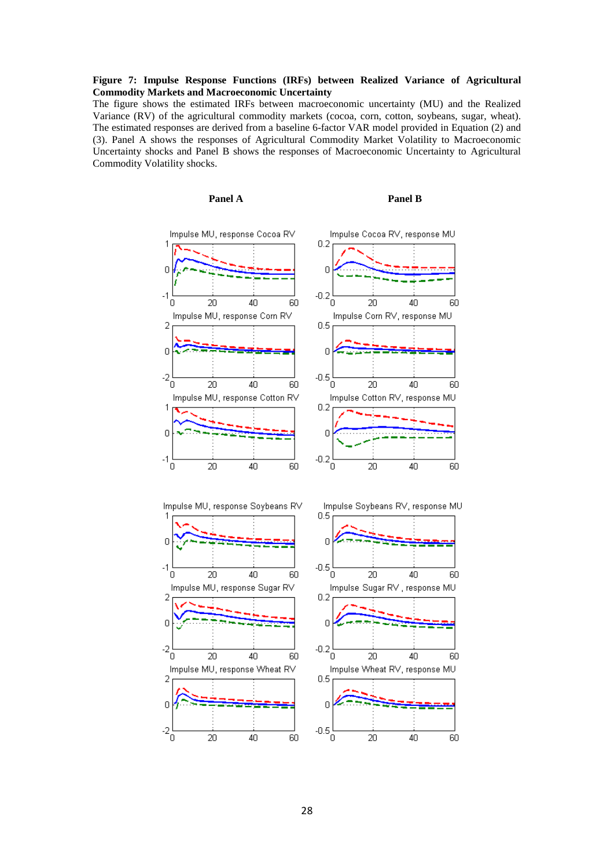#### **Figure 7: Impulse Response Functions (IRFs) between Realized Variance of Agricultural Commodity Markets and Macroeconomic Uncertainty**

The figure shows the estimated IRFs between macroeconomic uncertainty (MU) and the Realized Variance (RV) of the agricultural commodity markets (cocoa, corn, cotton, soybeans, sugar, wheat). The estimated responses are derived from a baseline 6-factor VAR model provided in Equation (2) and (3). Panel A shows the responses of Agricultural Commodity Market Volatility to Macroeconomic Uncertainty shocks and Panel B shows the responses of Macroeconomic Uncertainty to Agricultural Commodity Volatility shocks.



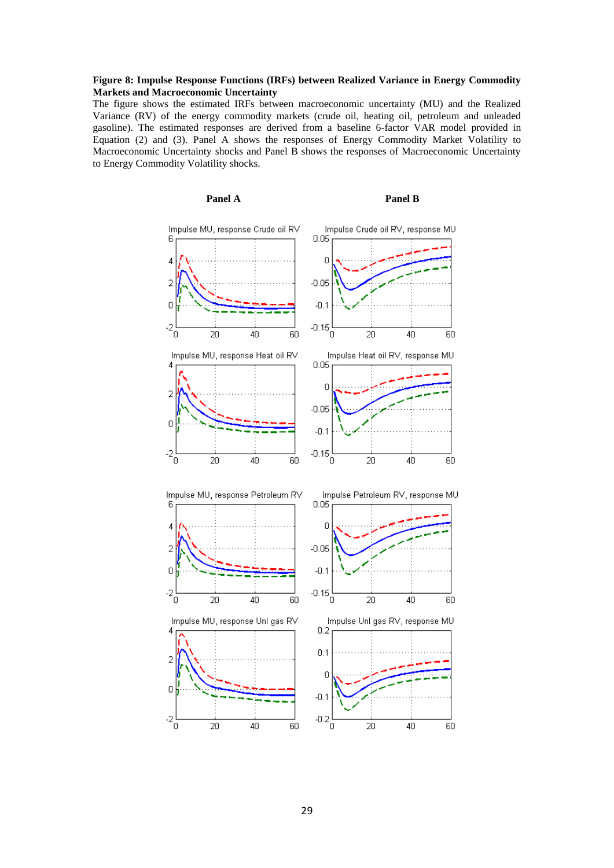#### **Figure 8: Impulse Response Functions (IRFs) between Realized Variance in Energy Commodity Markets and Macroeconomic Uncertainty**

The figure shows the estimated IRFs between macroeconomic uncertainty (MU) and the Realized Variance (RV) of the energy commodity markets (crude oil, heating oil, petroleum and unleaded gasoline). The estimated responses are derived from a baseline 6-factor VAR model provided in Equation (2) and (3). Panel A shows the responses of Energy Commodity Market Volatility to Macroeconomic Uncertainty shocks and Panel B shows the responses of Macroeconomic Uncertainty to Energy Commodity Volatility shocks.

**Panel A** Panel B